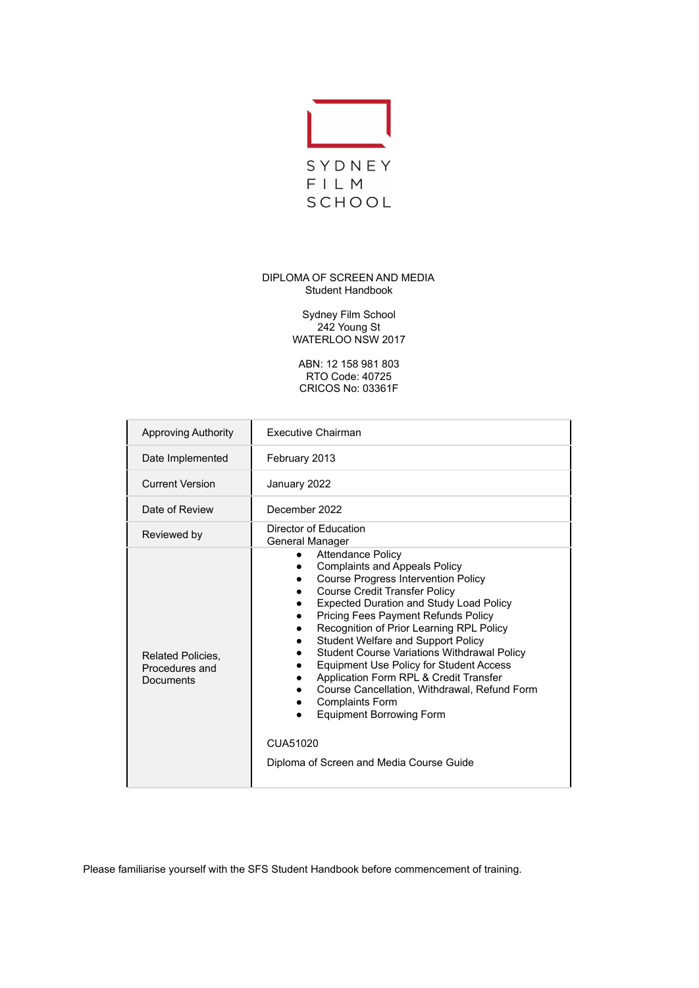

# DIPLOMA OF SCREEN AND MEDIA Student Handbook

Sydney Film School 242 Young St WATERLOO NSW 2017

ABN: 12 158 981 803 RTO Code: 40725 CRICOS No: 03361F

| <b>Approving Authority</b>                              | <b>Executive Chairman</b>                                                                                                                                                                                                                                                                                                                                                                                                                                                                                                                                                                                                                                                    |  |  |
|---------------------------------------------------------|------------------------------------------------------------------------------------------------------------------------------------------------------------------------------------------------------------------------------------------------------------------------------------------------------------------------------------------------------------------------------------------------------------------------------------------------------------------------------------------------------------------------------------------------------------------------------------------------------------------------------------------------------------------------------|--|--|
| Date Implemented                                        | February 2013                                                                                                                                                                                                                                                                                                                                                                                                                                                                                                                                                                                                                                                                |  |  |
| <b>Current Version</b>                                  | January 2022                                                                                                                                                                                                                                                                                                                                                                                                                                                                                                                                                                                                                                                                 |  |  |
| Date of Review                                          | December 2022                                                                                                                                                                                                                                                                                                                                                                                                                                                                                                                                                                                                                                                                |  |  |
| Reviewed by                                             | Director of Education<br>General Manager                                                                                                                                                                                                                                                                                                                                                                                                                                                                                                                                                                                                                                     |  |  |
| <b>Related Policies.</b><br>Procedures and<br>Documents | <b>Attendance Policy</b><br>$\bullet$<br><b>Complaints and Appeals Policy</b><br><b>Course Progress Intervention Policy</b><br><b>Course Credit Transfer Policy</b><br><b>Expected Duration and Study Load Policy</b><br><b>Pricing Fees Payment Refunds Policy</b><br>Recognition of Prior Learning RPL Policy<br>Student Welfare and Support Policy<br><b>Student Course Variations Withdrawal Policy</b><br><b>Equipment Use Policy for Student Access</b><br>Application Form RPL & Credit Transfer<br>Course Cancellation, Withdrawal, Refund Form<br><b>Complaints Form</b><br><b>Equipment Borrowing Form</b><br>CUA51020<br>Diploma of Screen and Media Course Guide |  |  |

Please familiarise yourself with the SFS Student Handbook before commencement of training.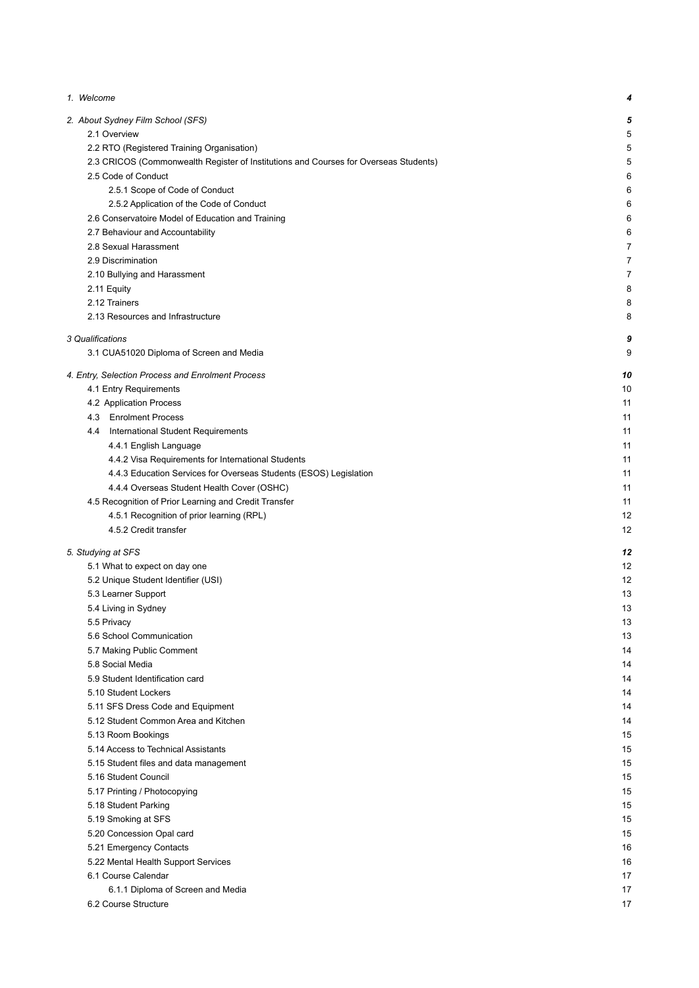| 1. Welcome                                                                           | 4              |
|--------------------------------------------------------------------------------------|----------------|
| 2. About Sydney Film School (SFS)                                                    | 5              |
| 2.1 Overview                                                                         | 5              |
| 2.2 RTO (Registered Training Organisation)                                           | 5              |
| 2.3 CRICOS (Commonwealth Register of Institutions and Courses for Overseas Students) | 5              |
| 2.5 Code of Conduct                                                                  | 6              |
| 2.5.1 Scope of Code of Conduct                                                       | 6              |
| 2.5.2 Application of the Code of Conduct                                             | 6              |
| 2.6 Conservatoire Model of Education and Training                                    | 6              |
| 2.7 Behaviour and Accountability                                                     | 6              |
| 2.8 Sexual Harassment                                                                | 7              |
| 2.9 Discrimination                                                                   | $\overline{7}$ |
| 2.10 Bullying and Harassment                                                         | $\overline{7}$ |
| 2.11 Equity                                                                          | 8              |
| 2.12 Trainers                                                                        | 8              |
| 2.13 Resources and Infrastructure                                                    | 8              |
| 3 Qualifications                                                                     | 9              |
| 3.1 CUA51020 Diploma of Screen and Media                                             | 9              |
| 4. Entry, Selection Process and Enrolment Process                                    | 10             |
| 4.1 Entry Requirements                                                               | 10             |
| 4.2 Application Process                                                              | 11             |
| 4.3 Enrolment Process                                                                | 11             |
| 4.4 International Student Requirements                                               | 11             |
| 4.4.1 English Language                                                               | 11             |
| 4.4.2 Visa Requirements for International Students                                   | 11             |
| 4.4.3 Education Services for Overseas Students (ESOS) Legislation                    | 11             |
| 4.4.4 Overseas Student Health Cover (OSHC)                                           | 11             |
| 4.5 Recognition of Prior Learning and Credit Transfer                                | 11             |
| 4.5.1 Recognition of prior learning (RPL)                                            | 12             |
| 4.5.2 Credit transfer                                                                | 12             |
| 5. Studying at SFS                                                                   | 12             |
| 5.1 What to expect on day one                                                        | 12             |
| 5.2 Unique Student Identifier (USI)                                                  | 12             |
| 5.3 Learner Support                                                                  | 13             |
| 5.4 Living in Sydney                                                                 | 13             |
| 5.5 Privacy                                                                          | 13             |
| 5.6 School Communication                                                             | 13             |
| 5.7 Making Public Comment                                                            | 14             |
| 5.8 Social Media                                                                     | 14             |
| 5.9 Student Identification card                                                      | 14             |
| 5.10 Student Lockers                                                                 | 14             |
| 5.11 SFS Dress Code and Equipment                                                    | 14             |
| 5.12 Student Common Area and Kitchen                                                 | 14             |
| 5.13 Room Bookings                                                                   | 15             |
| 5.14 Access to Technical Assistants                                                  | 15             |
| 5.15 Student files and data management                                               | 15             |
| 5.16 Student Council                                                                 | 15             |
| 5.17 Printing / Photocopying                                                         | 15             |
| 5.18 Student Parking                                                                 | 15             |
| 5.19 Smoking at SFS                                                                  | 15             |
| 5.20 Concession Opal card                                                            | 15             |
| 5.21 Emergency Contacts                                                              | 16             |
| 5.22 Mental Health Support Services                                                  | 16             |
| 6.1 Course Calendar                                                                  | 17             |
| 6.1.1 Diploma of Screen and Media                                                    | 17             |
| 6.2 Course Structure                                                                 | 17             |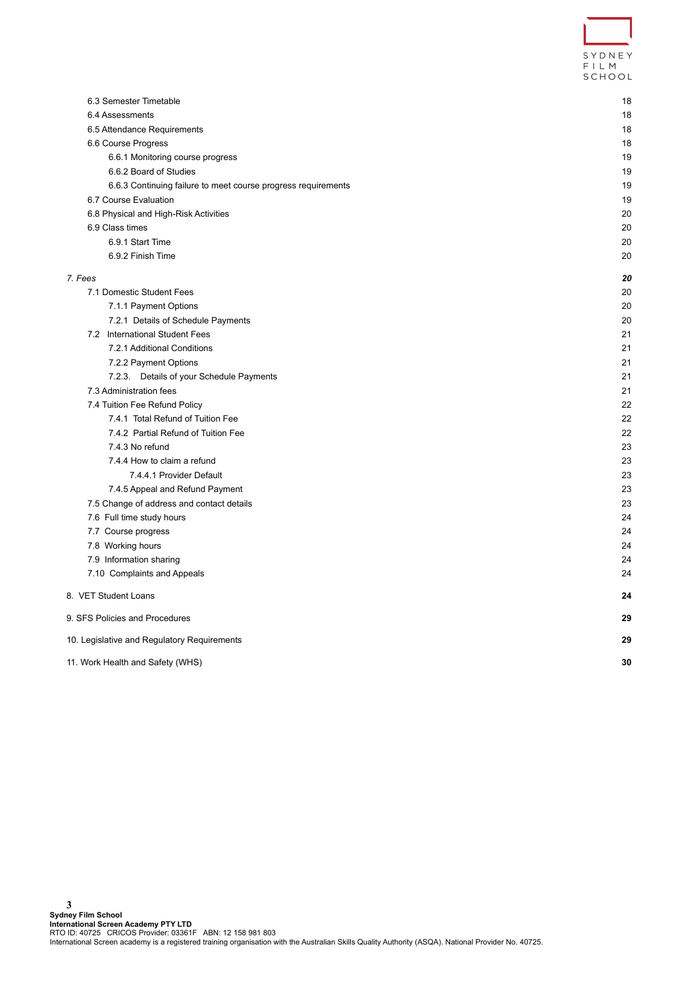| SYDNFY<br>FIIM |  |
|----------------|--|
| SCHOOL         |  |

| 6.3 Semester Timetable                                        | 18 |
|---------------------------------------------------------------|----|
| 6.4 Assessments                                               | 18 |
| 6.5 Attendance Requirements                                   | 18 |
| 6.6 Course Progress                                           | 18 |
| 6.6.1 Monitoring course progress                              | 19 |
| 6.6.2 Board of Studies                                        | 19 |
| 6.6.3 Continuing failure to meet course progress requirements | 19 |
| 6.7 Course Evaluation                                         | 19 |
| 6.8 Physical and High-Risk Activities                         | 20 |
| 6.9 Class times                                               | 20 |
| 6.9.1 Start Time                                              | 20 |
| 6.9.2 Finish Time                                             | 20 |
| 7. Fees                                                       | 20 |
| 7.1 Domestic Student Fees                                     | 20 |
| 7.1.1 Payment Options                                         | 20 |
| 7.2.1 Details of Schedule Payments                            | 20 |
| 7.2 International Student Fees                                | 21 |
| 7.2.1 Additional Conditions                                   | 21 |
| 7.2.2 Payment Options                                         | 21 |
| 7.2.3. Details of your Schedule Payments                      | 21 |
| 7.3 Administration fees                                       | 21 |
| 7.4 Tuition Fee Refund Policy                                 | 22 |
| 7.4.1 Total Refund of Tuition Fee                             | 22 |
| 7.4.2 Partial Refund of Tuition Fee                           | 22 |
| 7.4.3 No refund                                               | 23 |
| 7.4.4 How to claim a refund                                   | 23 |
| 7.4.4.1 Provider Default                                      | 23 |
| 7.4.5 Appeal and Refund Payment                               | 23 |
| 7.5 Change of address and contact details                     | 23 |
| 7.6 Full time study hours                                     | 24 |
| 7.7 Course progress                                           | 24 |
| 7.8 Working hours                                             | 24 |
| 7.9 Information sharing                                       | 24 |
| 7.10 Complaints and Appeals                                   | 24 |
| 8. VET Student Loans                                          | 24 |
| 9. SFS Policies and Procedures                                | 29 |
| 10. Legislative and Regulatory Requirements                   | 29 |
| 11. Work Health and Safety (WHS)                              | 30 |
|                                                               |    |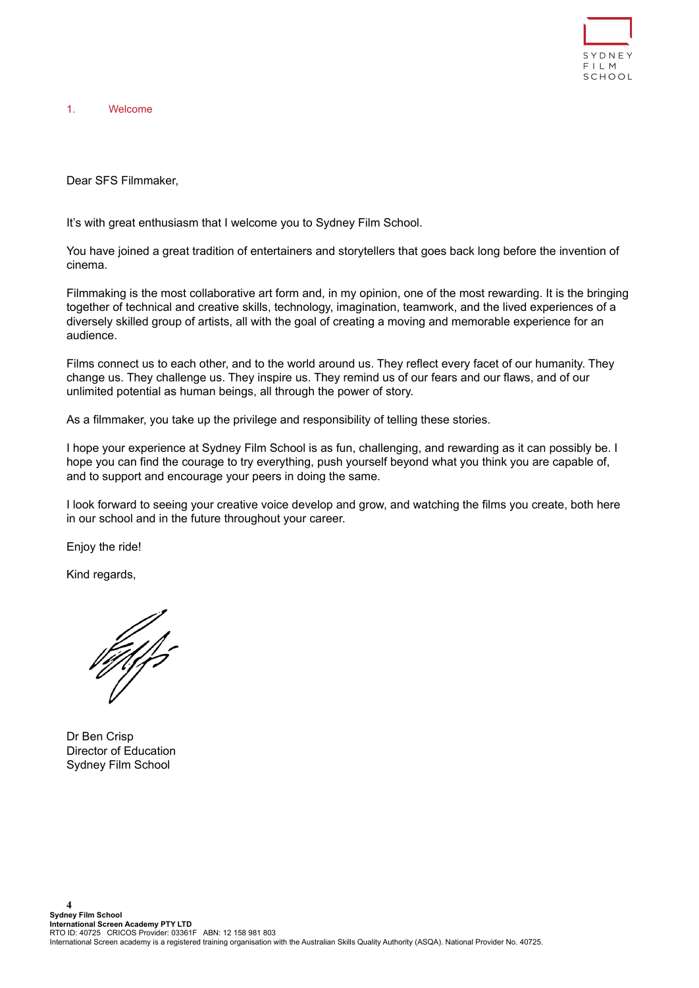

<span id="page-3-0"></span>1. Welcome

Dear SFS Filmmaker,

It's with great enthusiasm that I welcome you to Sydney Film School.

You have joined a great tradition of entertainers and storytellers that goes back long before the invention of cinema.

Filmmaking is the most collaborative art form and, in my opinion, one of the most rewarding. It is the bringing together of technical and creative skills, technology, imagination, teamwork, and the lived experiences of a diversely skilled group of artists, all with the goal of creating a moving and memorable experience for an audience.

Films connect us to each other, and to the world around us. They reflect every facet of our humanity. They change us. They challenge us. They inspire us. They remind us of our fears and our flaws, and of our unlimited potential as human beings, all through the power of story.

As a filmmaker, you take up the privilege and responsibility of telling these stories.

I hope your experience at Sydney Film School is as fun, challenging, and rewarding as it can possibly be. I hope you can find the courage to try everything, push yourself beyond what you think you are capable of, and to support and encourage your peers in doing the same.

I look forward to seeing your creative voice develop and grow, and watching the films you create, both here in our school and in the future throughout your career.

Enjoy the ride!

Kind regards,

falfs

Dr Ben Crisp Director of Education Sydney Film School

**4**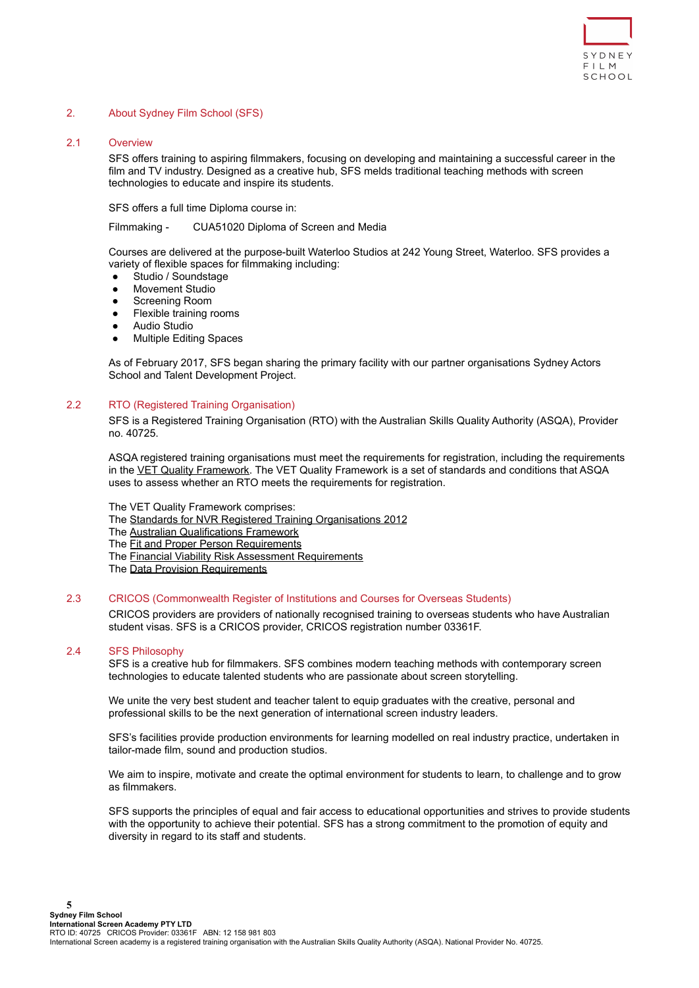

## <span id="page-4-1"></span><span id="page-4-0"></span>2. About Sydney Film School (SFS)

# 2.1 Overview

SFS offers training to aspiring filmmakers, focusing on developing and maintaining a successful career in the film and TV industry. Designed as a creative hub, SFS melds traditional teaching methods with screen technologies to educate and inspire its students.

SFS offers a full time Diploma course in:

Filmmaking - CUA51020 Diploma of Screen and Media

Courses are delivered at the purpose-built Waterloo Studios at 242 Young Street, Waterloo. SFS provides a variety of flexible spaces for filmmaking including:

- Studio / Soundstage
- **Movement Studio**
- Screening Room
- Flexible training rooms
- **Audio Studio**
- **Multiple Editing Spaces**

As of February 2017, SFS began sharing the primary facility with our partner organisations Sydney Actors School and Talent Development Project.

## <span id="page-4-2"></span>2.2 RTO (Registered Training Organisation)

SFS is a Registered Training Organisation (RTO) with the Australian Skills Quality Authority (ASQA), Provider no. 40725.

ASQA registered training organisations must meet the requirements for registration, including the requirements in the [VET Quality Framework.](http://www.asqa.gov.au/about-asqa/national-vet-regulation/vet-quality-framework.html) The VET Quality Framework is a set of standards and conditions that ASQA uses to assess whether an RTO meets the requirements for registration.

The VET Quality Framework comprises:

- The [Standards for NVR Registered Training Organisations](http://www.comlaw.gov.au/Series/F2013L00167) 2012
- The [Australian Qualifications Framework](http://www.asqa.gov.au/about-asqa/national-vet-regulation/australian-qualifications-framework.html)
- The **[Fit and Proper Person Requirements](http://www.asqa.gov.au/about-asqa/national-vet-regulation/fit-and-proper-person-requirements.html)**
- The [Financial Viability Risk Assessment Requirements](http://www.asqa.gov.au/about-asqa/national-vet-regulation/financial-viability-risk-assessment-requirements.html)
- The [Data Provision Requirements](http://www.asqa.gov.au/about-asqa/national-vet-regulation/data-provision-requirements.html)

#### <span id="page-4-3"></span>2.3 CRICOS (Commonwealth Register of Institutions and Courses for Overseas Students)

CRICOS providers are providers of nationally recognised training to overseas students who have Australian student visas. SFS is a CRICOS provider, CRICOS registration number 03361F.

#### 2.4 SFS Philosophy

SFS is a creative hub for filmmakers. SFS combines modern teaching methods with contemporary screen technologies to educate talented students who are passionate about screen storytelling.

We unite the very best student and teacher talent to equip graduates with the creative, personal and professional skills to be the next generation of international screen industry leaders.

SFS's facilities provide production environments for learning modelled on real industry practice, undertaken in tailor-made film, sound and production studios.

We aim to inspire, motivate and create the optimal environment for students to learn, to challenge and to grow as filmmakers.

SFS supports the principles of equal and fair access to educational opportunities and strives to provide students with the opportunity to achieve their potential. SFS has a strong commitment to the promotion of equity and diversity in regard to its staff and students.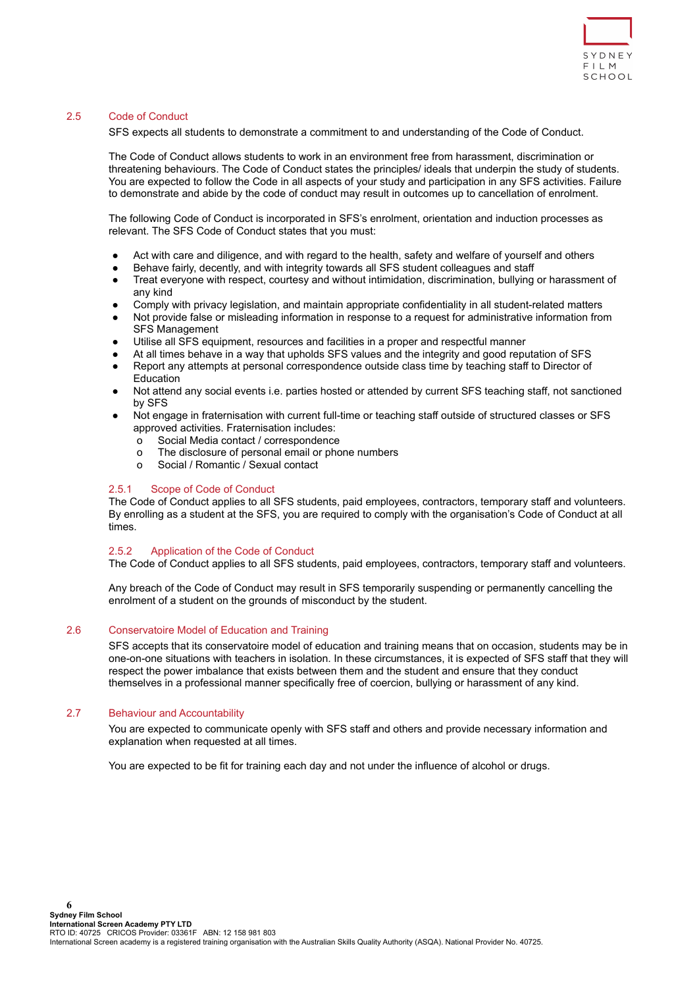

# <span id="page-5-0"></span>2.5 Code of Conduct

SFS expects all students to demonstrate a commitment to and understanding of the Code of Conduct.

The Code of Conduct allows students to work in an environment free from harassment, discrimination or threatening behaviours. The Code of Conduct states the principles/ ideals that underpin the study of students. You are expected to follow the Code in all aspects of your study and participation in any SFS activities. Failure to demonstrate and abide by the code of conduct may result in outcomes up to cancellation of enrolment.

The following Code of Conduct is incorporated in SFS's enrolment, orientation and induction processes as relevant. The SFS Code of Conduct states that you must:

- Act with care and diligence, and with regard to the health, safety and welfare of yourself and others
- Behave fairly, decently, and with integrity towards all SFS student colleagues and staff
- Treat everyone with respect, courtesy and without intimidation, discrimination, bullying or harassment of any kind
- Comply with privacy legislation, and maintain appropriate confidentiality in all student-related matters
- Not provide false or misleading information in response to a request for administrative information from SFS Management
- Utilise all SFS equipment, resources and facilities in a proper and respectful manner
- At all times behave in a way that upholds SFS values and the integrity and good reputation of SFS
- Report any attempts at personal correspondence outside class time by teaching staff to Director of Education
- Not attend any social events i.e. parties hosted or attended by current SFS teaching staff, not sanctioned by SFS
- Not engage in fraternisation with current full-time or teaching staff outside of structured classes or SFS approved activities. Fraternisation includes:
	- o Social Media contact / correspondence
	- o The disclosure of personal email or phone numbers
	- o Social / Romantic / Sexual contact

# <span id="page-5-1"></span>2.5.1 Scope of Code of Conduct

The Code of Conduct applies to all SFS students, paid employees, contractors, temporary staff and volunteers. By enrolling as a student at the SFS, you are required to comply with the organisation's Code of Conduct at all times.

## <span id="page-5-2"></span>2.5.2 Application of the Code of Conduct

The Code of Conduct applies to all SFS students, paid employees, contractors, temporary staff and volunteers.

Any breach of the Code of Conduct may result in SFS temporarily suspending or permanently cancelling the enrolment of a student on the grounds of misconduct by the student.

# <span id="page-5-3"></span>2.6 Conservatoire Model of Education and Training

SFS accepts that its conservatoire model of education and training means that on occasion, students may be in one-on-one situations with teachers in isolation. In these circumstances, it is expected of SFS staff that they will respect the power imbalance that exists between them and the student and ensure that they conduct themselves in a professional manner specifically free of coercion, bullying or harassment of any kind.

# <span id="page-5-4"></span>2.7 Behaviour and Accountability

You are expected to communicate openly with SFS staff and others and provide necessary information and explanation when requested at all times.

You are expected to be fit for training each day and not under the influence of alcohol or drugs.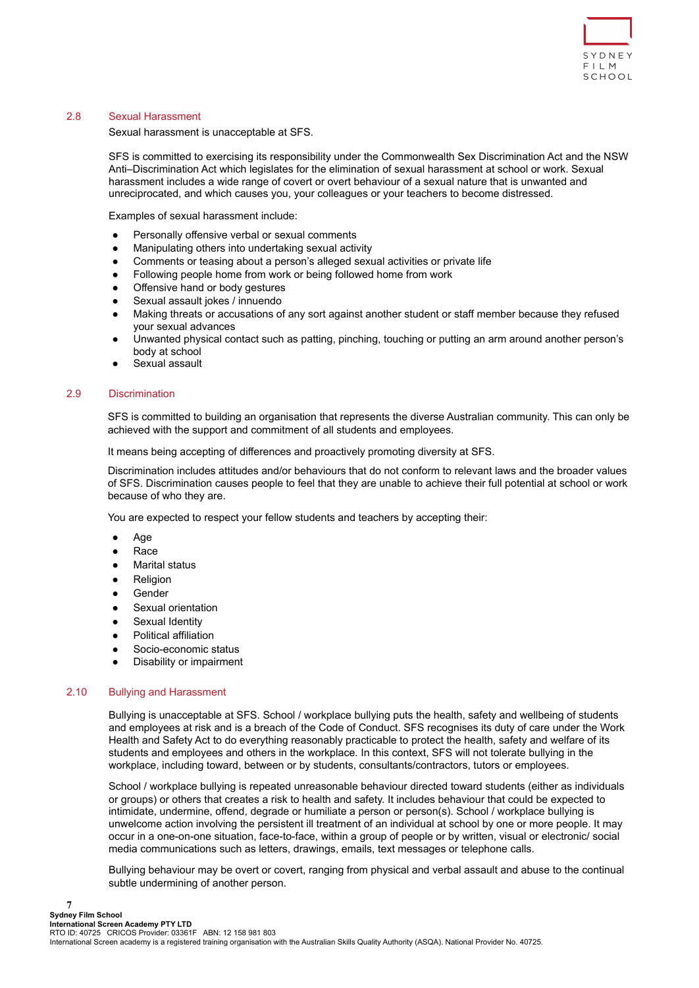

# <span id="page-6-0"></span>2.8 Sexual Harassment

Sexual harassment is unacceptable at SFS.

SFS is committed to exercising its responsibility under the Commonwealth Sex Discrimination Act and the NSW Anti–Discrimination Act which legislates for the elimination of sexual harassment at school or work. Sexual harassment includes a wide range of covert or overt behaviour of a sexual nature that is unwanted and unreciprocated, and which causes you, your colleagues or your teachers to become distressed.

Examples of sexual harassment include:

- Personally offensive verbal or sexual comments
- Manipulating others into undertaking sexual activity
- Comments or teasing about a person's alleged sexual activities or private life
- Following people home from work or being followed home from work
- Offensive hand or body gestures
- Sexual assault jokes / innuendo
- Making threats or accusations of any sort against another student or staff member because they refused your sexual advances
- Unwanted physical contact such as patting, pinching, touching or putting an arm around another person's body at school
- Sexual assault

#### <span id="page-6-1"></span>2.9 Discrimination

SFS is committed to building an organisation that represents the diverse Australian community. This can only be achieved with the support and commitment of all students and employees.

It means being accepting of differences and proactively promoting diversity at SFS.

Discrimination includes attitudes and/or behaviours that do not conform to relevant laws and the broader values of SFS. Discrimination causes people to feel that they are unable to achieve their full potential at school or work because of who they are.

You are expected to respect your fellow students and teachers by accepting their:

- Age
- Race
- **Marital status**
- **Religion**
- **Gender**
- Sexual orientation
- Sexual Identity
- Political affiliation
- Socio-economic status
- Disability or impairment

#### <span id="page-6-2"></span>2.10 Bullying and Harassment

**7**

Bullying is unacceptable at SFS. School / workplace bullying puts the health, safety and wellbeing of students and employees at risk and is a breach of the Code of Conduct. SFS recognises its duty of care under the Work Health and Safety Act to do everything reasonably practicable to protect the health, safety and welfare of its students and employees and others in the workplace. In this context, SFS will not tolerate bullying in the workplace, including toward, between or by students, consultants/contractors, tutors or employees.

School / workplace bullying is repeated unreasonable behaviour directed toward students (either as individuals or groups) or others that creates a risk to health and safety. It includes behaviour that could be expected to intimidate, undermine, offend, degrade or humiliate a person or person(s). School / workplace bullying is unwelcome action involving the persistent ill treatment of an individual at school by one or more people. It may occur in a one-on-one situation, face-to-face, within a group of people or by written, visual or electronic/ social media communications such as letters, drawings, emails, text messages or telephone calls.

Bullying behaviour may be overt or covert, ranging from physical and verbal assault and abuse to the continual subtle undermining of another person.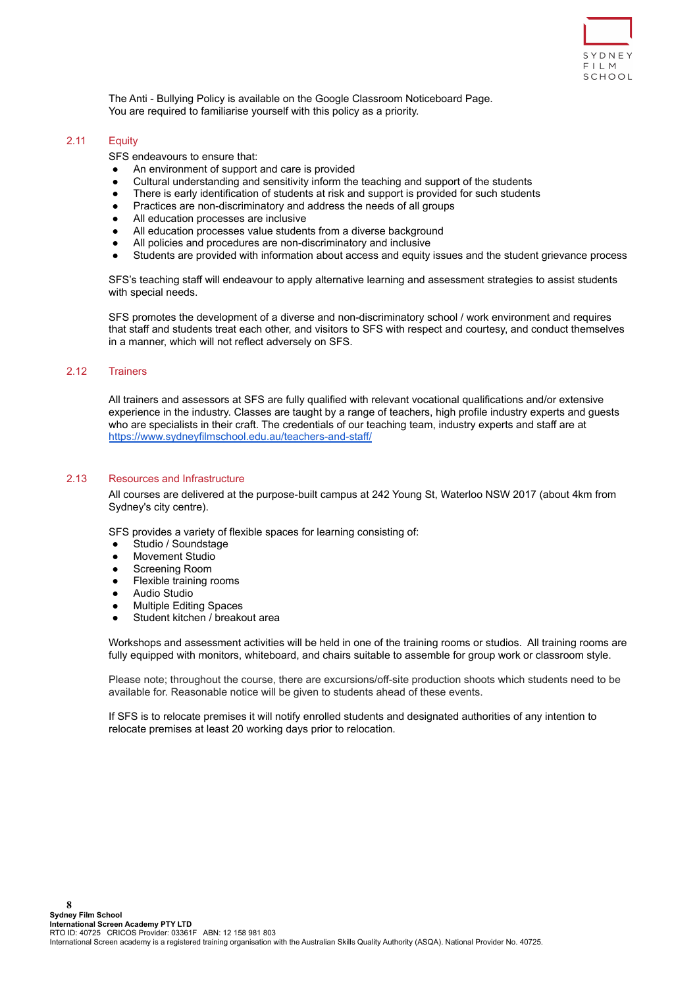

The Anti - Bullying Policy is available on the Google Classroom Noticeboard Page. You are required to familiarise yourself with this policy as a priority.

#### <span id="page-7-0"></span>2.11 Equity

SFS endeavours to ensure that:

- An environment of support and care is provided
- Cultural understanding and sensitivity inform the teaching and support of the students
- There is early identification of students at risk and support is provided for such students
- Practices are non-discriminatory and address the needs of all groups
- All education processes are inclusive
- All education processes value students from a diverse background
- All policies and procedures are non-discriminatory and inclusive
- Students are provided with information about access and equity issues and the student grievance process

SFS's teaching staff will endeavour to apply alternative learning and assessment strategies to assist students with special needs.

SFS promotes the development of a diverse and non-discriminatory school / work environment and requires that staff and students treat each other, and visitors to SFS with respect and courtesy, and conduct themselves in a manner, which will not reflect adversely on SFS.

### <span id="page-7-1"></span>2.12 Trainers

All trainers and assessors at SFS are fully qualified with relevant vocational qualifications and/or extensive experience in the industry. Classes are taught by a range of teachers, high profile industry experts and guests who are specialists in their craft. The credentials of our teaching team, industry experts and staff are at <https://www.sydneyfilmschool.edu.au/teachers-and-staff/>

#### <span id="page-7-2"></span>2.13 Resources and Infrastructure

All courses are delivered at the purpose-built campus at 242 Young St, Waterloo NSW 2017 (about 4km from Sydney's city centre).

SFS provides a variety of flexible spaces for learning consisting of:

- Studio / Soundstage
- **Movement Studio**
- Screening Room
- Flexible training rooms
- **Audio Studio**
- Multiple Editing Spaces
- Student kitchen / breakout area

Workshops and assessment activities will be held in one of the training rooms or studios. All training rooms are fully equipped with monitors, whiteboard, and chairs suitable to assemble for group work or classroom style.

Please note; throughout the course, there are excursions/off-site production shoots which students need to be available for. Reasonable notice will be given to students ahead of these events.

If SFS is to relocate premises it will notify enrolled students and designated authorities of any intention to relocate premises at least 20 working days prior to relocation.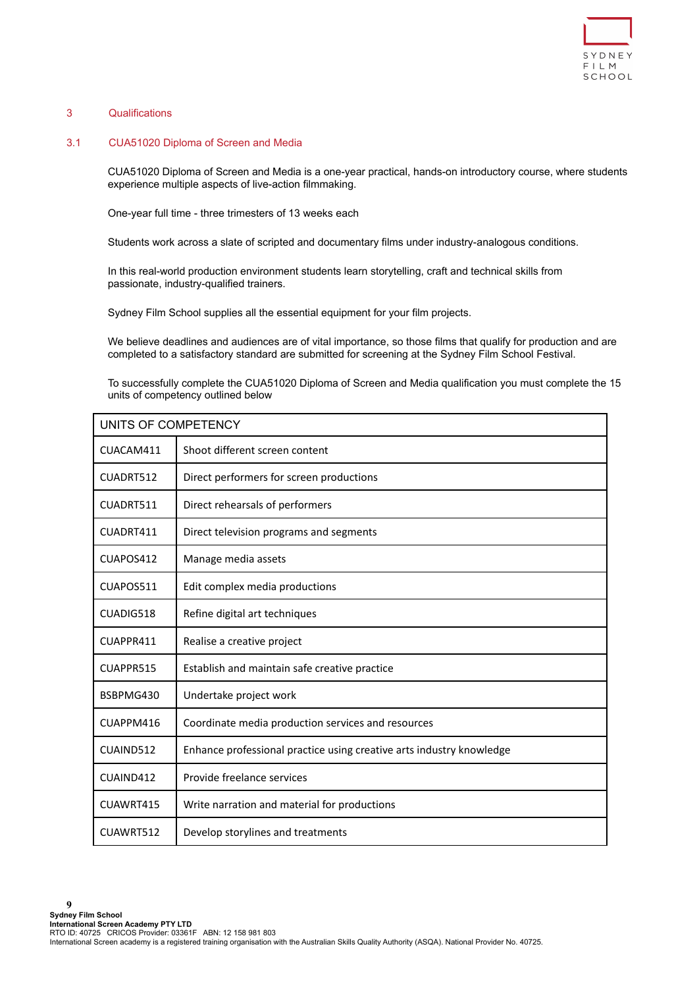

# <span id="page-8-1"></span><span id="page-8-0"></span>3 Qualifications

## 3.1 CUA51020 Diploma of Screen and Media

CUA51020 Diploma of Screen and Media is a one-year practical, hands-on introductory course, where students experience multiple aspects of live-action filmmaking.

One-year full time - three trimesters of 13 weeks each

Students work across a slate of scripted and documentary films under industry-analogous conditions.

In this real-world production environment students learn storytelling, craft and technical skills from passionate, industry-qualified trainers.

Sydney Film School supplies all the essential equipment for your film projects.

We believe deadlines and audiences are of vital importance, so those films that qualify for production and are completed to a satisfactory standard are submitted for screening at the Sydney Film School Festival.

To successfully complete the CUA51020 Diploma of Screen and Media qualification you must complete the 15 units of competency outlined below

| UNITS OF COMPETENCY |                                                                      |  |
|---------------------|----------------------------------------------------------------------|--|
| CUACAM411           | Shoot different screen content                                       |  |
| CUADRT512           | Direct performers for screen productions                             |  |
| CUADRT511           | Direct rehearsals of performers                                      |  |
| CUADRT411           | Direct television programs and segments                              |  |
| CUAPOS412           | Manage media assets                                                  |  |
| CUAPOS511           | Edit complex media productions                                       |  |
| CUADIG518           | Refine digital art techniques                                        |  |
| CUAPPR411           | Realise a creative project                                           |  |
| CUAPPR515           | Establish and maintain safe creative practice                        |  |
| BSBPMG430           | Undertake project work                                               |  |
| CUAPPM416           | Coordinate media production services and resources                   |  |
| CUAIND512           | Enhance professional practice using creative arts industry knowledge |  |
| CUAIND412           | Provide freelance services                                           |  |
| CUAWRT415           | Write narration and material for productions                         |  |
| CUAWRT512           | Develop storylines and treatments                                    |  |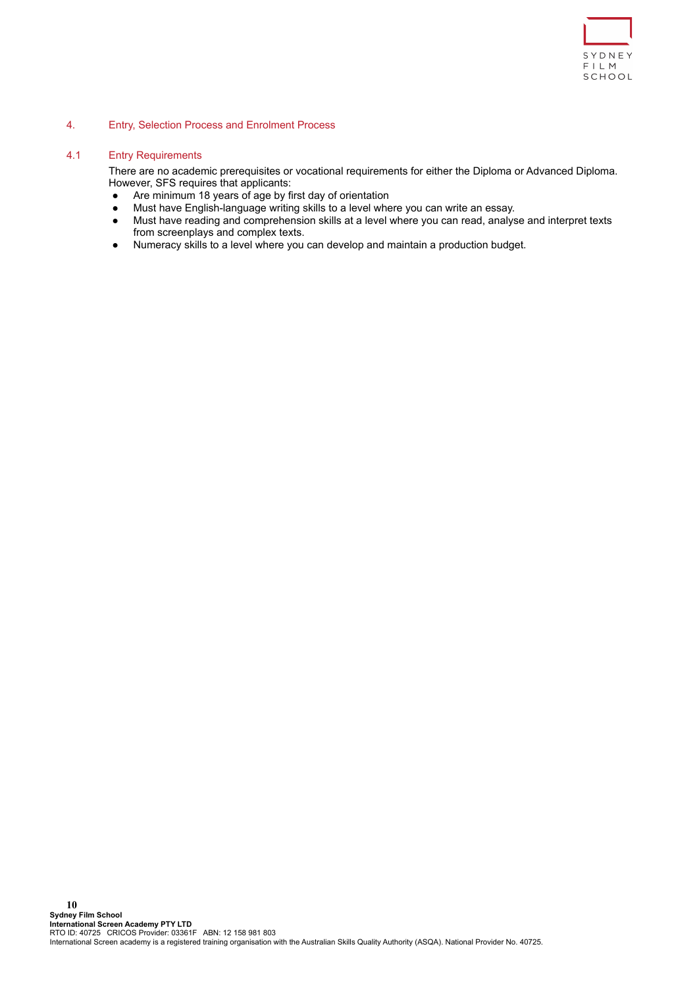

### <span id="page-9-0"></span>4. Entry, Selection Process and Enrolment Process

### <span id="page-9-1"></span>4.1 Entry Requirements

There are no academic prerequisites or vocational requirements for either the Diploma or Advanced Diploma. However, SFS requires that applicants:

- Are minimum 18 years of age by first day of orientation
- Must have English-language writing skills to a level where you can write an essay.
- Must have reading and comprehension skills at a level where you can read, analyse and interpret texts from screenplays and complex texts.
- Numeracy skills to a level where you can develop and maintain a production budget.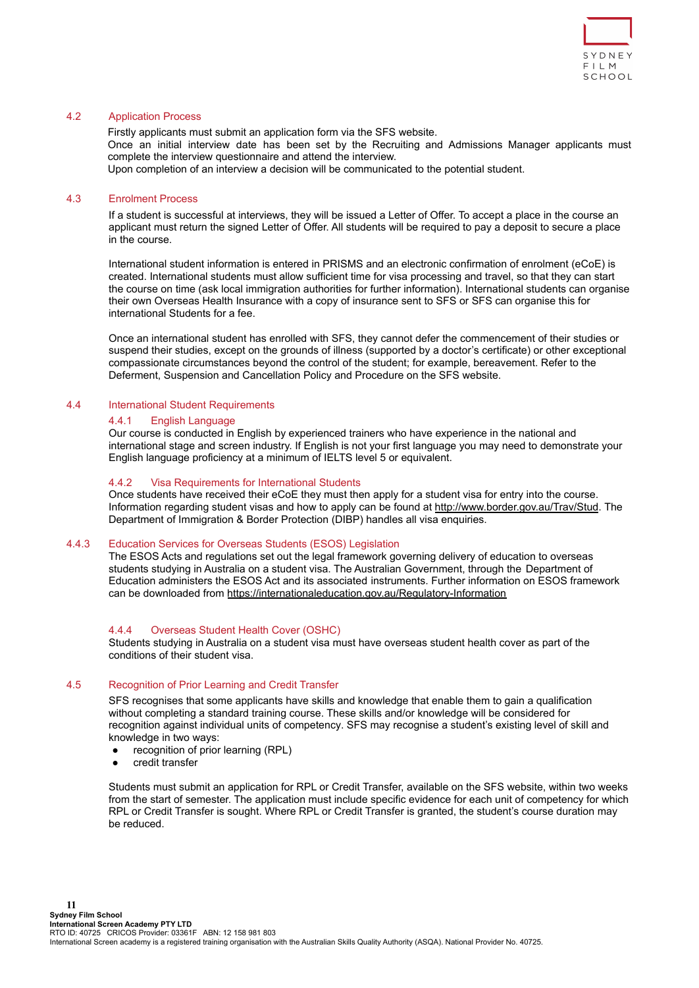

# <span id="page-10-0"></span>4.2 Application Process

Firstly applicants must submit an application form via the SFS website. Once an initial interview date has been set by the Recruiting and Admissions Manager applicants must complete the interview questionnaire and attend the interview. Upon completion of an interview a decision will be communicated to the potential student.

## <span id="page-10-1"></span>4.3 Enrolment Process

If a student is successful at interviews, they will be issued a Letter of Offer. To accept a place in the course an applicant must return the signed Letter of Offer. All students will be required to pay a deposit to secure a place in the course.

International student information is entered in PRISMS and an electronic confirmation of enrolment (eCoE) is created. International students must allow sufficient time for visa processing and travel, so that they can start the course on time (ask local immigration authorities for further information). International students can organise their own Overseas Health Insurance with a copy of insurance sent to SFS or SFS can organise this for international Students for a fee.

Once an international student has enrolled with SFS, they cannot defer the commencement of their studies or suspend their studies, except on the grounds of illness (supported by a doctor's certificate) or other exceptional compassionate circumstances beyond the control of the student; for example, bereavement. Refer to the Deferment, Suspension and Cancellation Policy and Procedure on the SFS website.

## <span id="page-10-3"></span><span id="page-10-2"></span>4.4 International Student Requirements

#### 4.4.1 English Language

Our course is conducted in English by experienced trainers who have experience in the national and international stage and screen industry. If English is not your first language you may need to demonstrate your English language proficiency at a minimum of IELTS level 5 or equivalent.

#### <span id="page-10-4"></span>4.4.2 Visa Requirements for International Students

Once students have received their eCoE they must then apply for a student visa for entry into the course. Information regarding student visas and how to apply can be found at <http://www.border.gov.au/Trav/Stud>. The Department of Immigration & Border Protection (DIBP) handles all visa enquiries.

# <span id="page-10-5"></span>4.4.3 Education Services for Overseas Students (ESOS) Legislation

The ESOS Acts and regulations set out the legal framework governing delivery of education to overseas students studying in Australia on a student visa. The Australian Government, through the Department of Education administers the ESOS Act and its associated instruments. Further information on ESOS framework can be downloaded from <https://internationaleducation.gov.au/Regulatory-Information>

## <span id="page-10-6"></span>4.4.4 Overseas Student Health Cover (OSHC)

Students studying in Australia on a student visa must have overseas student health cover as part of the conditions of their student visa.

# <span id="page-10-7"></span>4.5 Recognition of Prior Learning and Credit Transfer

SFS recognises that some applicants have skills and knowledge that enable them to gain a qualification without completing a standard training course. These skills and/or knowledge will be considered for recognition against individual units of competency. SFS may recognise a student's existing level of skill and knowledge in two ways:

- recognition of prior learning (RPL)
- credit transfer

Students must submit an application for RPL or Credit Transfer, available on the SFS website, within two weeks from the start of semester. The application must include specific evidence for each unit of competency for which RPL or Credit Transfer is sought. Where RPL or Credit Transfer is granted, the student's course duration may be reduced.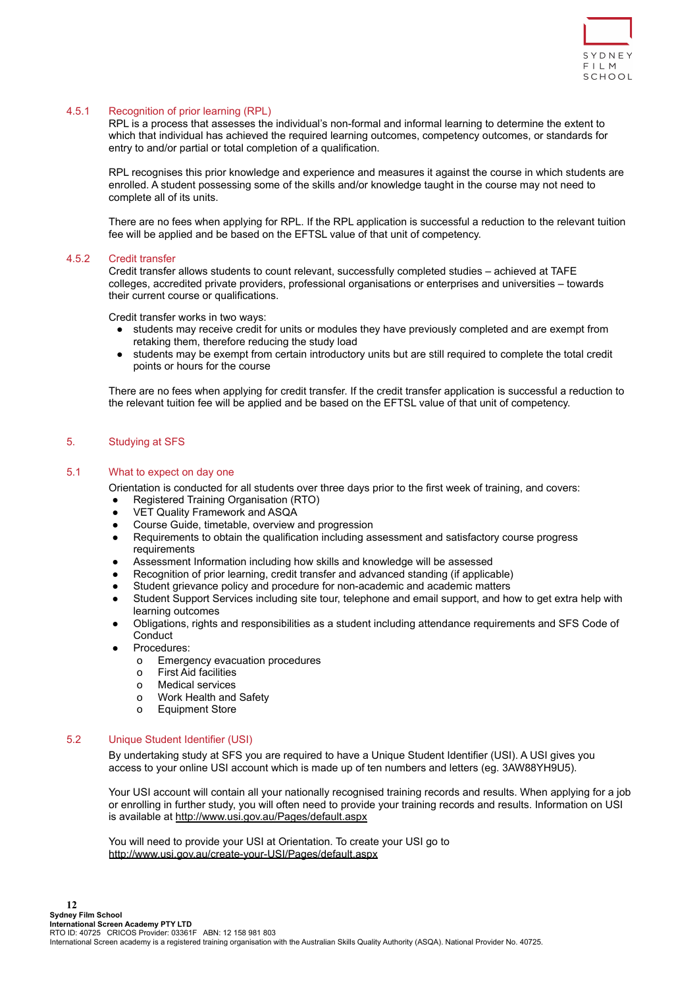

# <span id="page-11-0"></span>4.5.1 Recognition of prior learning (RPL)

RPL is a process that assesses the individual's non-formal and informal learning to determine the extent to which that individual has achieved the required learning outcomes, competency outcomes, or standards for entry to and/or partial or total completion of a qualification.

RPL recognises this prior knowledge and experience and measures it against the course in which students are enrolled. A student possessing some of the skills and/or knowledge taught in the course may not need to complete all of its units.

There are no fees when applying for RPL. If the RPL application is successful a reduction to the relevant tuition fee will be applied and be based on the EFTSL value of that unit of competency.

#### <span id="page-11-1"></span>4.5.2 Credit transfer

Credit transfer allows students to count relevant, successfully completed studies – achieved at TAFE colleges, accredited private providers, professional organisations or enterprises and universities – towards their current course or qualifications.

Credit transfer works in two ways:

- students may receive credit for units or modules they have previously completed and are exempt from retaking them, therefore reducing the study load
- students may be exempt from certain introductory units but are still required to complete the total credit points or hours for the course

There are no fees when applying for credit transfer. If the credit transfer application is successful a reduction to the relevant tuition fee will be applied and be based on the EFTSL value of that unit of competency.

# <span id="page-11-2"></span>5. Studying at SFS

# <span id="page-11-3"></span>5.1 What to expect on day one

Orientation is conducted for all students over three days prior to the first week of training, and covers:

- Registered Training Organisation (RTO)
- VET Quality Framework and ASQA
- Course Guide, timetable, overview and progression
- Requirements to obtain the qualification including assessment and satisfactory course progress requirements
- Assessment Information including how skills and knowledge will be assessed
- Recognition of prior learning, credit transfer and advanced standing (if applicable)
- Student grievance policy and procedure for non-academic and academic matters
- Student Support Services including site tour, telephone and email support, and how to get extra help with learning outcomes
- Obligations, rights and responsibilities as a student including attendance requirements and SFS Code of **Conduct**
- Procedures:
	- o Emergency evacuation procedures
	- o First Aid facilities
	- o Medical services
	- o Work Health and Safety
	- o Equipment Store

# <span id="page-11-4"></span>5.2 Unique Student Identifier (USI)

By undertaking study at SFS you are required to have a Unique Student Identifier (USI). A USI gives you access to your online USI account which is made up of ten numbers and letters (eg. 3AW88YH9U5).

Your USI account will contain all your nationally recognised training records and results. When applying for a job or enrolling in further study, you will often need to provide your training records and results. Information on USI is available at <http://www.usi.gov.au/Pages/default.aspx>

You will need to provide your USI at Orientation. To create your USI go to <http://www.usi.gov.au/create-your-USI/Pages/default.aspx>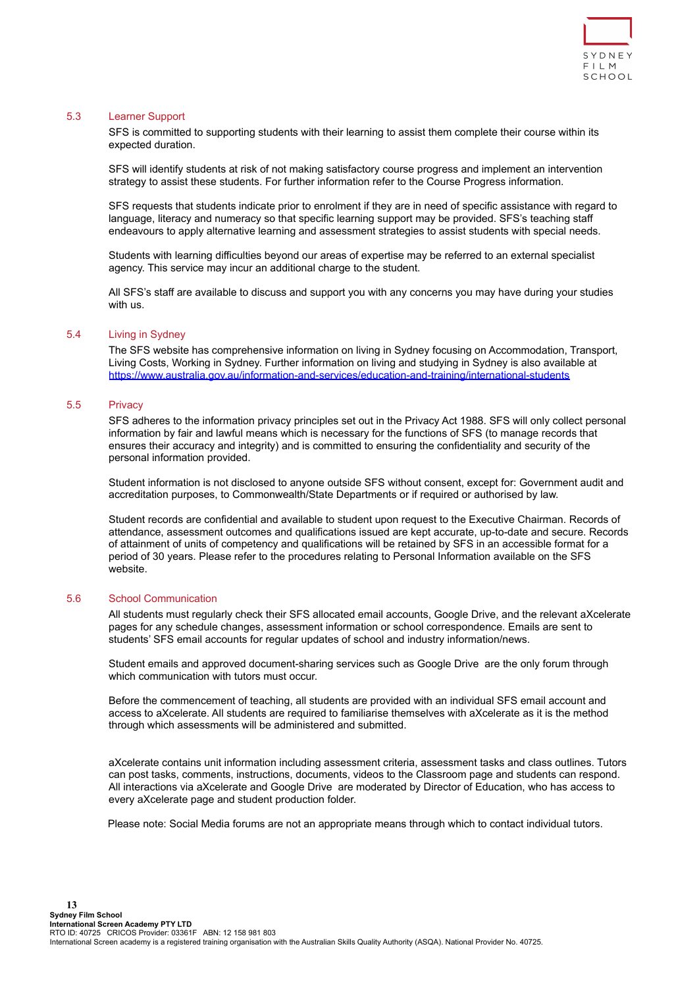

# <span id="page-12-0"></span>5.3 Learner Support

SFS is committed to supporting students with their learning to assist them complete their course within its expected duration.

SFS will identify students at risk of not making satisfactory course progress and implement an intervention strategy to assist these students. For further information refer to the Course Progress information.

SFS requests that students indicate prior to enrolment if they are in need of specific assistance with regard to language, literacy and numeracy so that specific learning support may be provided. SFS's teaching staff endeavours to apply alternative learning and assessment strategies to assist students with special needs.

Students with learning difficulties beyond our areas of expertise may be referred to an external specialist agency. This service may incur an additional charge to the student.

All SFS's staff are available to discuss and support you with any concerns you may have during your studies with us.

#### <span id="page-12-1"></span>5.4 Living in Sydney

The SFS website has comprehensive information on living in Sydney focusing on Accommodation, Transport, Living Costs, Working in Sydney. Further information on living and studying in Sydney is also available at <https://www.australia.gov.au/information-and-services/education-and-training/international-students>

# <span id="page-12-2"></span>5.5 Privacy

SFS adheres to the information privacy principles set out in the Privacy Act 1988. SFS will only collect personal information by fair and lawful means which is necessary for the functions of SFS (to manage records that ensures their accuracy and integrity) and is committed to ensuring the confidentiality and security of the personal information provided.

Student information is not disclosed to anyone outside SFS without consent, except for: Government audit and accreditation purposes, to Commonwealth/State Departments or if required or authorised by law.

Student records are confidential and available to student upon request to the Executive Chairman. Records of attendance, assessment outcomes and qualifications issued are kept accurate, up-to-date and secure. Records of attainment of units of competency and qualifications will be retained by SFS in an accessible format for a period of 30 years. Please refer to the procedures relating to Personal Information available on the SFS website.

### <span id="page-12-3"></span>5.6 School Communication

All students must regularly check their SFS allocated email accounts, Google Drive, and the relevant aXcelerate pages for any schedule changes, assessment information or school correspondence. Emails are sent to students' SFS email accounts for regular updates of school and industry information/news.

Student emails and approved document-sharing services such as Google Drive are the only forum through which communication with tutors must occur.

Before the commencement of teaching, all students are provided with an individual SFS email account and access to aXcelerate. All students are required to familiarise themselves with aXcelerate as it is the method through which assessments will be administered and submitted.

aXcelerate contains unit information including assessment criteria, assessment tasks and class outlines. Tutors can post tasks, comments, instructions, documents, videos to the Classroom page and students can respond. All interactions via aXcelerate and Google Drive are moderated by Director of Education, who has access to every aXcelerate page and student production folder.

Please note: Social Media forums are not an appropriate means through which to contact individual tutors.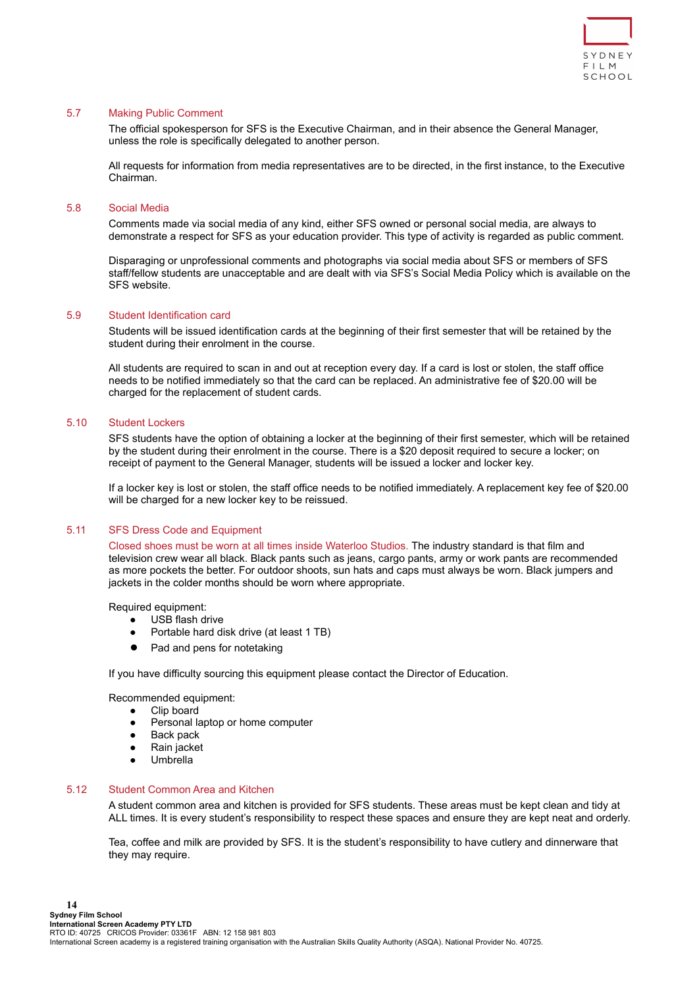

### <span id="page-13-0"></span>5.7 Making Public Comment

The official spokesperson for SFS is the Executive Chairman, and in their absence the General Manager, unless the role is specifically delegated to another person.

All requests for information from media representatives are to be directed, in the first instance, to the Executive Chairman.

#### <span id="page-13-1"></span>5.8 Social Media

Comments made via social media of any kind, either SFS owned or personal social media, are always to demonstrate a respect for SFS as your education provider. This type of activity is regarded as public comment.

Disparaging or unprofessional comments and photographs via social media about SFS or members of SFS staff/fellow students are unacceptable and are dealt with via SFS's Social Media Policy which is available on the SFS website.

## <span id="page-13-2"></span>5.9 Student Identification card

Students will be issued identification cards at the beginning of their first semester that will be retained by the student during their enrolment in the course.

All students are required to scan in and out at reception every day. If a card is lost or stolen, the staff office needs to be notified immediately so that the card can be replaced. An administrative fee of \$20.00 will be charged for the replacement of student cards.

## <span id="page-13-3"></span>5.10 Student Lockers

SFS students have the option of obtaining a locker at the beginning of their first semester, which will be retained by the student during their enrolment in the course. There is a \$20 deposit required to secure a locker; on receipt of payment to the General Manager, students will be issued a locker and locker key.

If a locker key is lost or stolen, the staff office needs to be notified immediately. A replacement key fee of \$20.00 will be charged for a new locker key to be reissued.

## <span id="page-13-4"></span>5.11 SFS Dress Code and Equipment

Closed shoes must be worn at all times inside Waterloo Studios. The industry standard is that film and television crew wear all black. Black pants such as jeans, cargo pants, army or work pants are recommended as more pockets the better. For outdoor shoots, sun hats and caps must always be worn. Black jumpers and jackets in the colder months should be worn where appropriate.

Required equipment:

- USB flash drive
- Portable hard disk drive (at least 1 TB)
- Pad and pens for notetaking

If you have difficulty sourcing this equipment please contact the Director of Education.

Recommended equipment:

- Clip board
- Personal laptop or home computer
- Back pack
- Rain jacket
- Umbrella

# <span id="page-13-5"></span>5.12 Student Common Area and Kitchen

A student common area and kitchen is provided for SFS students. These areas must be kept clean and tidy at ALL times. It is every student's responsibility to respect these spaces and ensure they are kept neat and orderly.

Tea, coffee and milk are provided by SFS. It is the student's responsibility to have cutlery and dinnerware that they may require.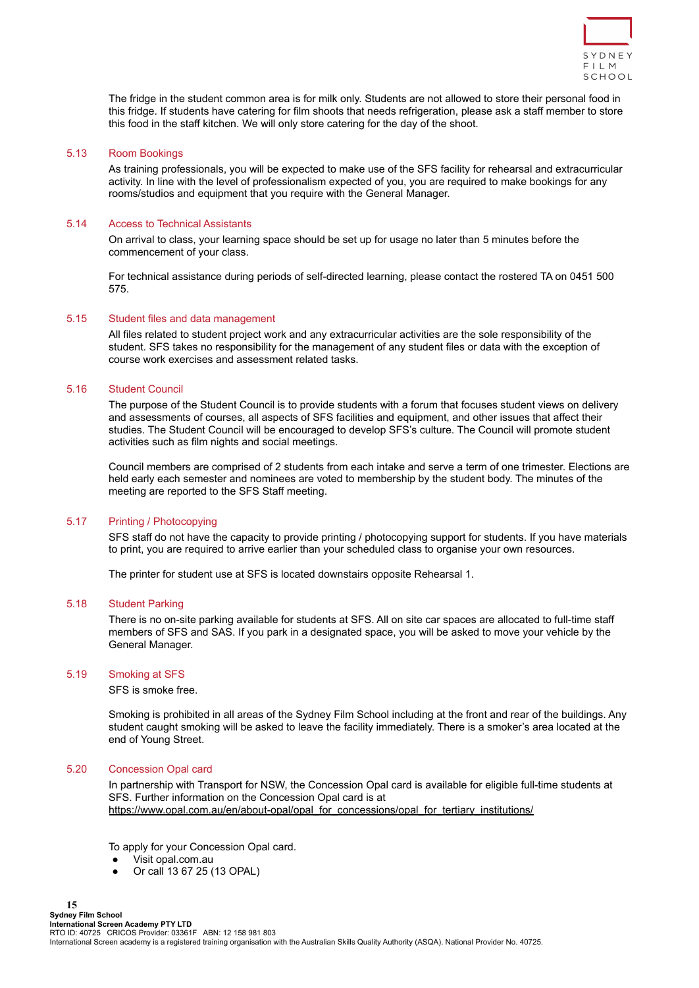

The fridge in the student common area is for milk only. Students are not allowed to store their personal food in this fridge. If students have catering for film shoots that needs refrigeration, please ask a staff member to store this food in the staff kitchen. We will only store catering for the day of the shoot.

#### <span id="page-14-0"></span>5.13 Room Bookings

As training professionals, you will be expected to make use of the SFS facility for rehearsal and extracurricular activity. In line with the level of professionalism expected of you, you are required to make bookings for any rooms/studios and equipment that you require with the General Manager.

### <span id="page-14-1"></span>5.14 Access to Technical Assistants

On arrival to class, your learning space should be set up for usage no later than 5 minutes before the commencement of your class.

For technical assistance during periods of self-directed learning, please contact the rostered TA on 0451 500 575.

#### <span id="page-14-2"></span>5.15 Student files and data management

All files related to student project work and any extracurricular activities are the sole responsibility of the student. SFS takes no responsibility for the management of any student files or data with the exception of course work exercises and assessment related tasks.

### <span id="page-14-3"></span>5.16 Student Council

The purpose of the Student Council is to provide students with a forum that focuses student views on delivery and assessments of courses, all aspects of SFS facilities and equipment, and other issues that affect their studies. The Student Council will be encouraged to develop SFS's culture. The Council will promote student activities such as film nights and social meetings.

Council members are comprised of 2 students from each intake and serve a term of one trimester. Elections are held early each semester and nominees are voted to membership by the student body. The minutes of the meeting are reported to the SFS Staff meeting.

# <span id="page-14-4"></span>5.17 Printing / Photocopying

SFS staff do not have the capacity to provide printing / photocopying support for students. If you have materials to print, you are required to arrive earlier than your scheduled class to organise your own resources.

The printer for student use at SFS is located downstairs opposite Rehearsal 1.

# <span id="page-14-5"></span>5.18 Student Parking

There is no on-site parking available for students at SFS. All on site car spaces are allocated to full-time staff members of SFS and SAS. If you park in a designated space, you will be asked to move your vehicle by the General Manager.

#### <span id="page-14-6"></span>5.19 Smoking at SFS

SFS is smoke free.

Smoking is prohibited in all areas of the Sydney Film School including at the front and rear of the buildings. Any student caught smoking will be asked to leave the facility immediately. There is a smoker's area located at the end of Young Street.

# <span id="page-14-7"></span>5.20 Concession Opal card

In partnership with Transport for NSW, the Concession Opal card is available for eligible full-time students at SFS. Further information on the Concession Opal card is at [https://www.opal.com.au/en/about-opal/opal\\_for\\_concessions/opal\\_for\\_tertiary\\_institutions/](https://www.opal.com.au/en/about-opal/opal_for_concessions/opal_for_tertiary_institutions/)

To apply for your Concession Opal card.

- Visit opal.com.au
- Or call 13 67 25 (13 OPAL)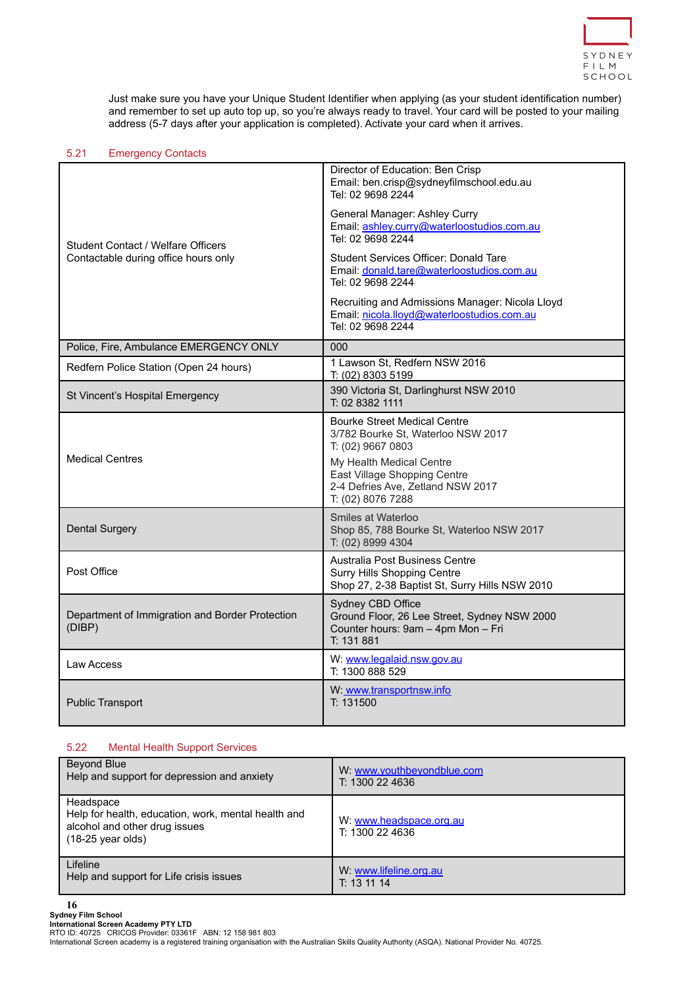

Just make sure you have your Unique Student Identifier when applying (as your student identification number) and remember to set up auto top up, so you're always ready to travel. Your card will be posted to your mailing address (5-7 days after your application is completed). Activate your card when it arrives.

# <span id="page-15-0"></span>5.21 Emergency Contacts

|                                                           | Director of Education: Ben Crisp<br>Email: ben.crisp@sydneyfilmschool.edu.au<br>Tel: 02 9698 2244                                                          |  |
|-----------------------------------------------------------|------------------------------------------------------------------------------------------------------------------------------------------------------------|--|
| Student Contact / Welfare Officers                        | General Manager: Ashley Curry<br>Email: ashley.curry@waterloostudios.com.au<br>Tel: 02 9698 2244                                                           |  |
| Contactable during office hours only                      | Student Services Officer: Donald Tare<br>Email: donald.tare@waterloostudios.com.au<br>Tel: 02 9698 2244                                                    |  |
|                                                           | Recruiting and Admissions Manager: Nicola Lloyd<br>Email: nicola.lloyd@waterloostudios.com.au<br>Tel: 02 9698 2244                                         |  |
| Police, Fire, Ambulance EMERGENCY ONLY                    | 000                                                                                                                                                        |  |
| Redfern Police Station (Open 24 hours)                    | 1 Lawson St, Redfern NSW 2016<br>T: (02) 8303 5199                                                                                                         |  |
| St Vincent's Hospital Emergency                           | 390 Victoria St, Darlinghurst NSW 2010<br>T: 02 8382 1111                                                                                                  |  |
| <b>Medical Centres</b>                                    | <b>Bourke Street Medical Centre</b><br>3/782 Bourke St, Waterloo NSW 2017<br>T: (02) 9667 0803<br>My Health Medical Centre<br>East Village Shopping Centre |  |
|                                                           | 2-4 Defries Ave, Zetland NSW 2017<br>T: (02) 8076 7288                                                                                                     |  |
| <b>Dental Surgery</b>                                     | Smiles at Waterloo<br>Shop 85, 788 Bourke St, Waterloo NSW 2017<br>T: (02) 8999 4304                                                                       |  |
| Post Office                                               | Australia Post Business Centre<br>Surry Hills Shopping Centre<br>Shop 27, 2-38 Baptist St, Surry Hills NSW 2010                                            |  |
| Department of Immigration and Border Protection<br>(DIBP) | Sydney CBD Office<br>Ground Floor, 26 Lee Street, Sydney NSW 2000<br>Counter hours: 9am - 4pm Mon - Fri<br>T: 131 881                                      |  |
| Law Access                                                | W: www.legalaid.nsw.gov.au<br>T: 1300 888 529                                                                                                              |  |
| <b>Public Transport</b>                                   | W: www.transportnsw.info<br>T: 131500                                                                                                                      |  |

# <span id="page-15-1"></span>5.22 Mental Health Support Services

| Beyond Blue                                                                                                                      | W: www.youthbeyondblue.com                 |
|----------------------------------------------------------------------------------------------------------------------------------|--------------------------------------------|
| Help and support for depression and anxiety                                                                                      | T: 1300 22 4636                            |
| Headspace<br>Help for health, education, work, mental health and<br>alcohol and other drug issues<br>$(18-25 \text{ year}$ olds) | W: www.headspace.org.au<br>T: 1300 22 4636 |
| Lifeline                                                                                                                         | W: www.lifeline.org.au                     |
| Help and support for Life crisis issues                                                                                          | T: 1311114                                 |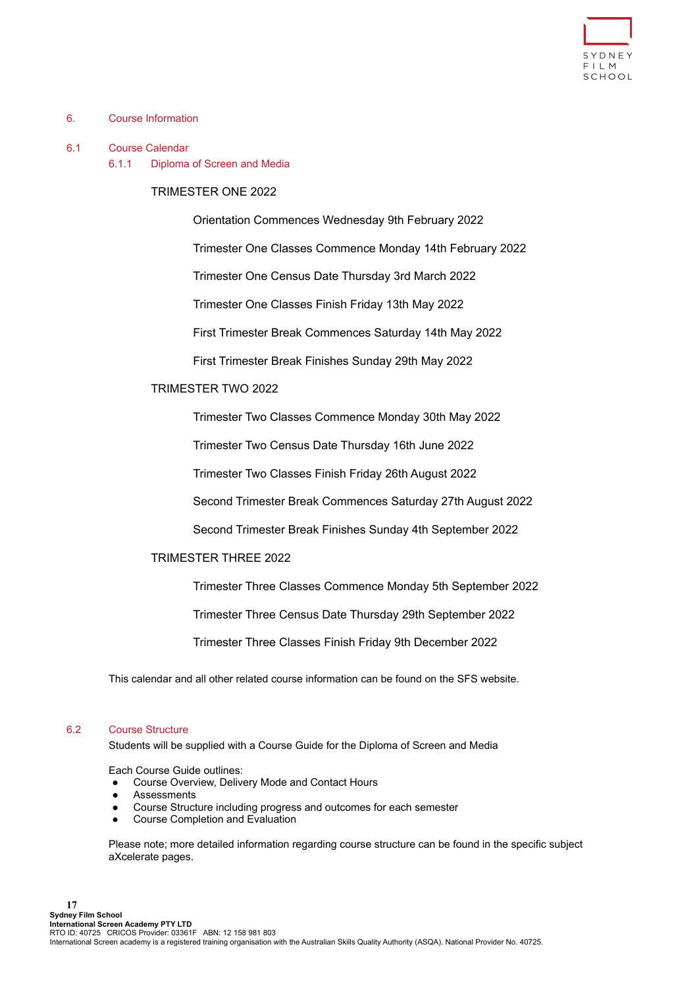

# <span id="page-16-0"></span>6. Course Information

### <span id="page-16-1"></span>6.1 Course Calendar

6.1.1 Diploma of Screen and Media

# TRIMESTER ONE 2022

Orientation Commences Wednesday 9th February 2022

Trimester One Classes Commence Monday 14th February 2022

Trimester One Census Date Thursday 3rd March 2022

Trimester One Classes Finish Friday 13th May 2022

First Trimester Break Commences Saturday 14th May 2022

First Trimester Break Finishes Sunday 29th May 2022

# TRIMESTER TWO 2022

Trimester Two Classes Commence Monday 30th May 2022

Trimester Two Census Date Thursday 16th June 2022

Trimester Two Classes Finish Friday 26th August 2022

Second Trimester Break Commences Saturday 27th August 2022

Second Trimester Break Finishes Sunday 4th September 2022

# TRIMESTER THREE 2022

Trimester Three Classes Commence Monday 5th September 2022

Trimester Three Census Date Thursday 29th September 2022

Trimester Three Classes Finish Friday 9th December 2022

This calendar and all other related course information can be found on the SFS website.

# <span id="page-16-2"></span>6.2 Course Structure

Students will be supplied with a Course Guide for the Diploma of Screen and Media

Each Course Guide outlines:

- Course Overview, Delivery Mode and Contact Hours
- **Assessments**
- Course Structure including progress and outcomes for each semester
- Course Completion and Evaluation

Please note; more detailed information regarding course structure can be found in the specific subject aXcelerate pages.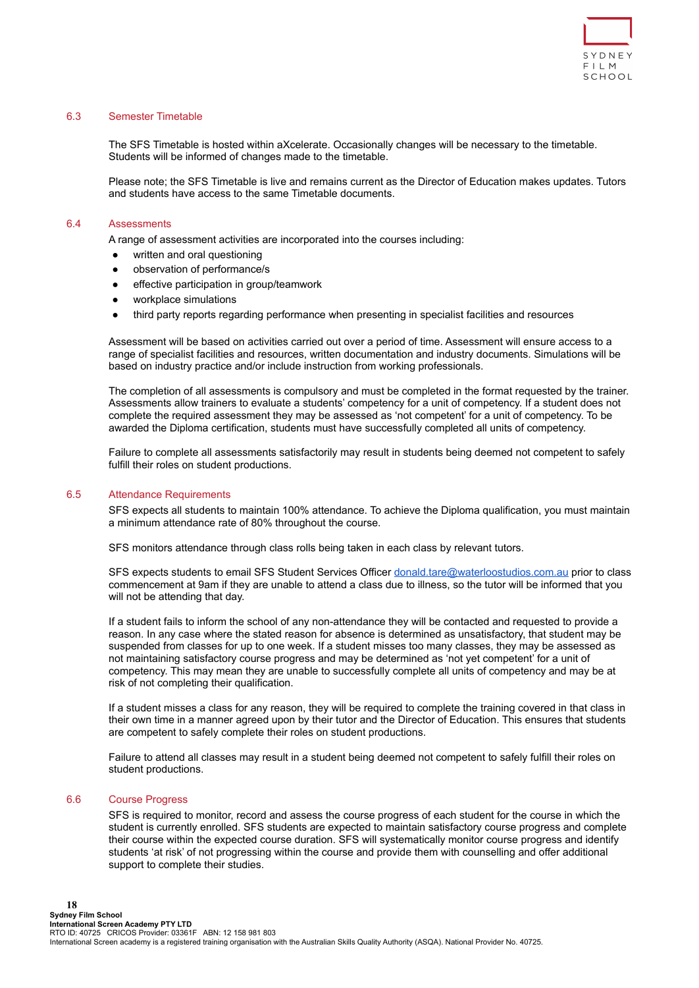

# <span id="page-17-0"></span>6.3 Semester Timetable

The SFS Timetable is hosted within aXcelerate. Occasionally changes will be necessary to the timetable. Students will be informed of changes made to the timetable.

Please note; the SFS Timetable is live and remains current as the Director of Education makes updates. Tutors and students have access to the same Timetable documents.

#### <span id="page-17-1"></span>6.4 Assessments

A range of assessment activities are incorporated into the courses including:

- written and oral questioning
- observation of performance/s
- effective participation in group/teamwork
- workplace simulations
- third party reports regarding performance when presenting in specialist facilities and resources

Assessment will be based on activities carried out over a period of time. Assessment will ensure access to a range of specialist facilities and resources, written documentation and industry documents. Simulations will be based on industry practice and/or include instruction from working professionals.

The completion of all assessments is compulsory and must be completed in the format requested by the trainer. Assessments allow trainers to evaluate a students' competency for a unit of competency. If a student does not complete the required assessment they may be assessed as 'not competent' for a unit of competency. To be awarded the Diploma certification, students must have successfully completed all units of competency.

Failure to complete all assessments satisfactorily may result in students being deemed not competent to safely fulfill their roles on student productions.

## <span id="page-17-2"></span>6.5 Attendance Requirements

SFS expects all students to maintain 100% attendance. To achieve the Diploma qualification, you must maintain a minimum attendance rate of 80% throughout the course.

SFS monitors attendance through class rolls being taken in each class by relevant tutors.

SFS expects students to email SFS Student Services Officer [donald.tare@waterloostudios.com.au](mailto:donald.tare@waterloostudios.com.au) prior to class commencement at 9am if they are unable to attend a class due to illness, so the tutor will be informed that you will not be attending that day.

If a student fails to inform the school of any non-attendance they will be contacted and requested to provide a reason. In any case where the stated reason for absence is determined as unsatisfactory, that student may be suspended from classes for up to one week. If a student misses too many classes, they may be assessed as not maintaining satisfactory course progress and may be determined as 'not yet competent' for a unit of competency. This may mean they are unable to successfully complete all units of competency and may be at risk of not completing their qualification.

If a student misses a class for any reason, they will be required to complete the training covered in that class in their own time in a manner agreed upon by their tutor and the Director of Education. This ensures that students are competent to safely complete their roles on student productions.

Failure to attend all classes may result in a student being deemed not competent to safely fulfill their roles on student productions.

#### <span id="page-17-3"></span>6.6 Course Progress

SFS is required to monitor, record and assess the course progress of each student for the course in which the student is currently enrolled. SFS students are expected to maintain satisfactory course progress and complete their course within the expected course duration. SFS will systematically monitor course progress and identify students 'at risk' of not progressing within the course and provide them with counselling and offer additional support to complete their studies.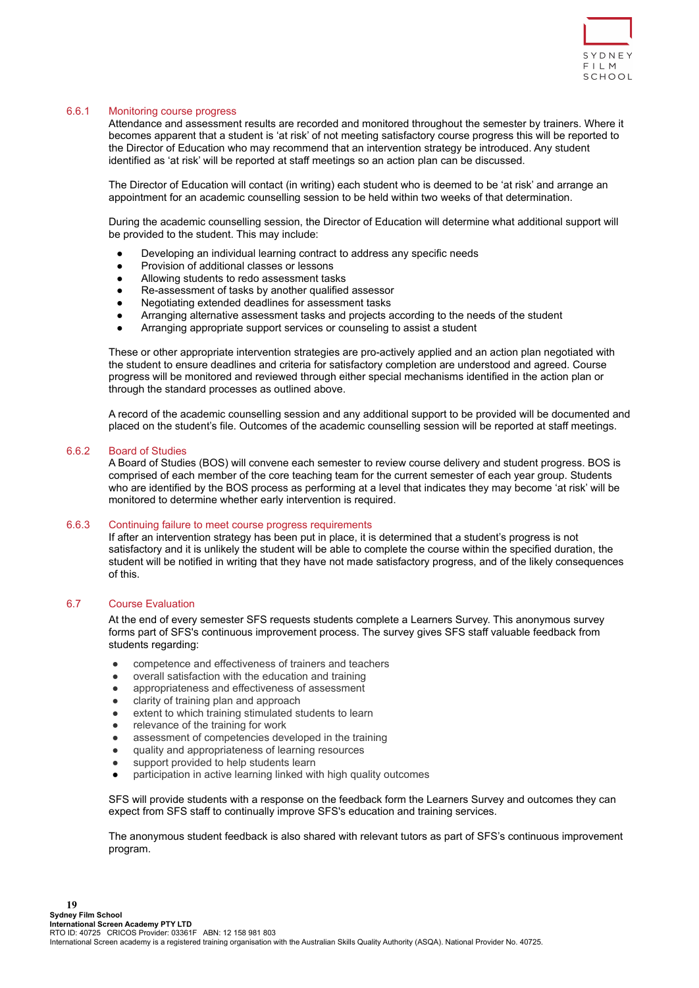

## <span id="page-18-0"></span>6.6.1 Monitoring course progress

Attendance and assessment results are recorded and monitored throughout the semester by trainers. Where it becomes apparent that a student is 'at risk' of not meeting satisfactory course progress this will be reported to the Director of Education who may recommend that an intervention strategy be introduced. Any student identified as 'at risk' will be reported at staff meetings so an action plan can be discussed.

The Director of Education will contact (in writing) each student who is deemed to be 'at risk' and arrange an appointment for an academic counselling session to be held within two weeks of that determination.

During the academic counselling session, the Director of Education will determine what additional support will be provided to the student. This may include:

- Developing an individual learning contract to address any specific needs
- Provision of additional classes or lessons
- Allowing students to redo assessment tasks
- Re-assessment of tasks by another qualified assessor
- Negotiating extended deadlines for assessment tasks
- Arranging alternative assessment tasks and projects according to the needs of the student
- Arranging appropriate support services or counseling to assist a student

These or other appropriate intervention strategies are pro-actively applied and an action plan negotiated with the student to ensure deadlines and criteria for satisfactory completion are understood and agreed. Course progress will be monitored and reviewed through either special mechanisms identified in the action plan or through the standard processes as outlined above.

A record of the academic counselling session and any additional support to be provided will be documented and placed on the student's file. Outcomes of the academic counselling session will be reported at staff meetings.

#### <span id="page-18-1"></span>6.6.2 Board of Studies

A Board of Studies (BOS) will convene each semester to review course delivery and student progress. BOS is comprised of each member of the core teaching team for the current semester of each year group. Students who are identified by the BOS process as performing at a level that indicates they may become 'at risk' will be monitored to determine whether early intervention is required.

#### <span id="page-18-2"></span>6.6.3 Continuing failure to meet course progress requirements

If after an intervention strategy has been put in place, it is determined that a student's progress is not satisfactory and it is unlikely the student will be able to complete the course within the specified duration, the student will be notified in writing that they have not made satisfactory progress, and of the likely consequences of this.

### <span id="page-18-3"></span>6.7 Course Evaluation

At the end of every semester SFS requests students complete a Learners Survey. This anonymous survey forms part of SFS's continuous improvement process. The survey gives SFS staff valuable feedback from students regarding:

- competence and effectiveness of trainers and teachers
- overall satisfaction with the education and training
- appropriateness and effectiveness of assessment
- clarity of training plan and approach
- extent to which training stimulated students to learn
- relevance of the training for work
- assessment of competencies developed in the training
- quality and appropriateness of learning resources
- support provided to help students learn
- participation in active learning linked with high quality outcomes

SFS will provide students with a response on the feedback form the Learners Survey and outcomes they can expect from SFS staff to continually improve SFS's education and training services.

The anonymous student feedback is also shared with relevant tutors as part of SFS's continuous improvement program.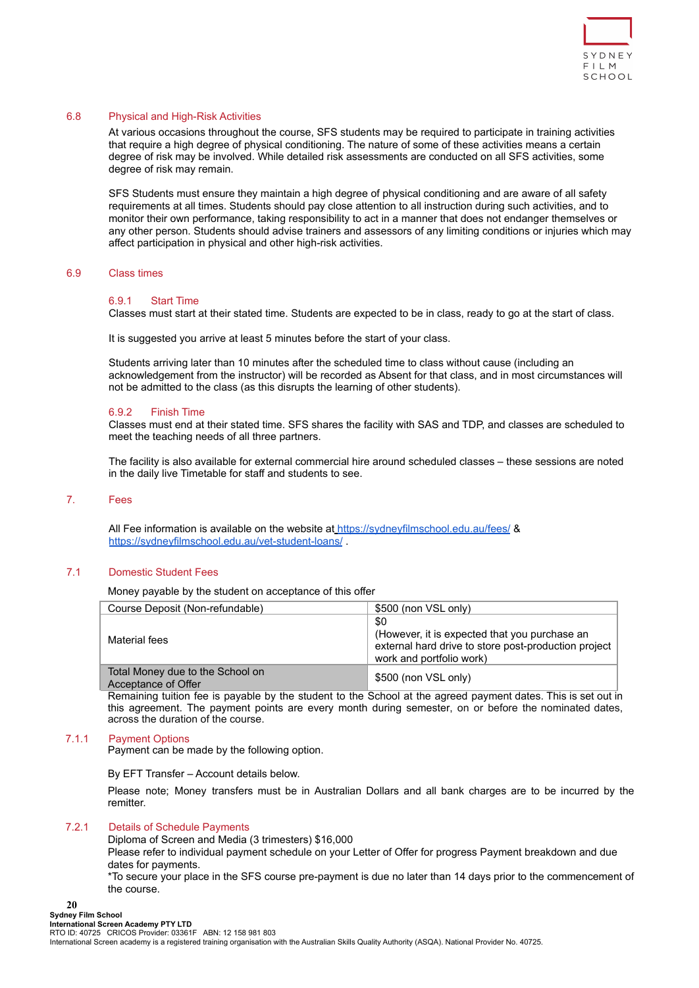

# <span id="page-19-0"></span>6.8 Physical and High-Risk Activities

At various occasions throughout the course, SFS students may be required to participate in training activities that require a high degree of physical conditioning. The nature of some of these activities means a certain degree of risk may be involved. While detailed risk assessments are conducted on all SFS activities, some degree of risk may remain.

SFS Students must ensure they maintain a high degree of physical conditioning and are aware of all safety requirements at all times. Students should pay close attention to all instruction during such activities, and to monitor their own performance, taking responsibility to act in a manner that does not endanger themselves or any other person. Students should advise trainers and assessors of any limiting conditions or injuries which may affect participation in physical and other high-risk activities.

#### <span id="page-19-2"></span><span id="page-19-1"></span>6.9 Class times

#### 6.9.1 Start Time

Classes must start at their stated time. Students are expected to be in class, ready to go at the start of class.

It is suggested you arrive at least 5 minutes before the start of your class.

Students arriving later than 10 minutes after the scheduled time to class without cause (including an acknowledgement from the instructor) will be recorded as Absent for that class, and in most circumstances will not be admitted to the class (as this disrupts the learning of other students).

#### <span id="page-19-3"></span>6.9.2 Finish Time

Classes must end at their stated time. SFS shares the facility with SAS and TDP, and classes are scheduled to meet the teaching needs of all three partners.

The facility is also available for external commercial hire around scheduled classes – these sessions are noted in the daily live Timetable for staff and students to see.

#### <span id="page-19-4"></span>7. Fees

All Fee information is available on the website at <https://sydneyfilmschool.edu.au/fees/> & <https://sydneyfilmschool.edu.au/vet-student-loans/>.

# <span id="page-19-5"></span>7.1 Domestic Student Fees

Money payable by the student on acceptance of this offer

| Course Deposit (Non-refundable)                         | \$500 (non VSL only)                                                                                                                     |
|---------------------------------------------------------|------------------------------------------------------------------------------------------------------------------------------------------|
| Material fees                                           | \$0<br>(However, it is expected that you purchase an<br>external hard drive to store post-production project<br>work and portfolio work) |
| Total Money due to the School on<br>Acceptance of Offer | \$500 (non VSL only)                                                                                                                     |

Remaining tuition fee is payable by the student to the School at the agreed payment dates. This is set out in this agreement. The payment points are every month during semester, on or before the nominated dates, across the duration of the course.

# <span id="page-19-6"></span>7.1.1 Payment Options

Payment can be made by the following option.

By EFT Transfer – Account details below.

Please note; Money transfers must be in Australian Dollars and all bank charges are to be incurred by the remitter.

# <span id="page-19-7"></span>7.2.1 Details of Schedule Payments

Diploma of Screen and Media (3 trimesters) \$16,000

Please refer to individual payment schedule on your Letter of Offer for progress Payment breakdown and due dates for payments.

\*To secure your place in the SFS course pre-payment is due no later than 14 days prior to the commencement of the course.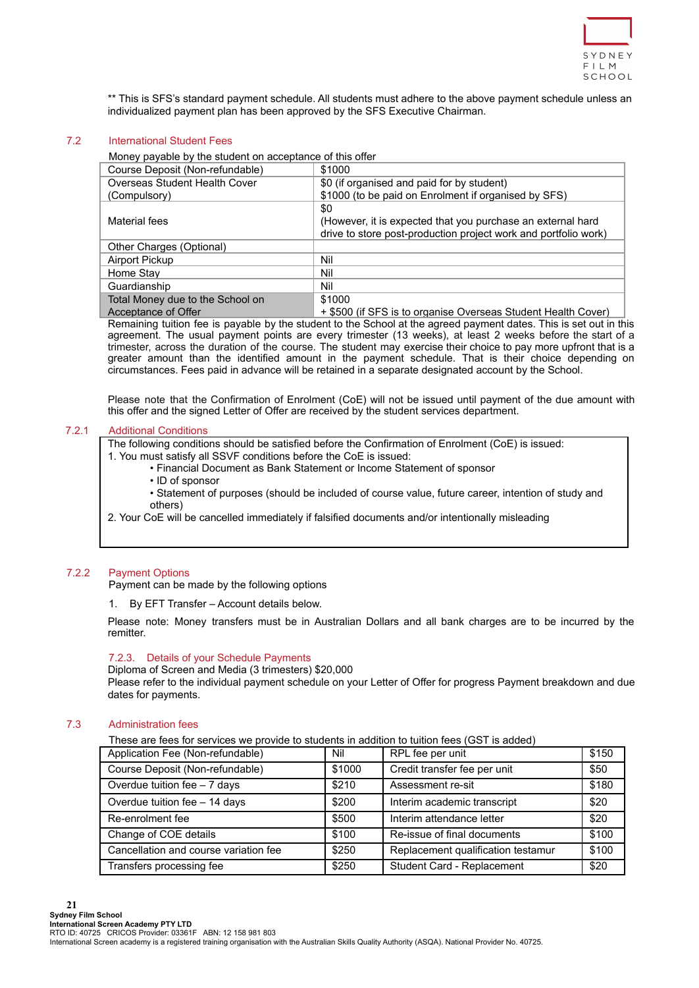

\*\* This is SFS's standard payment schedule. All students must adhere to the above payment schedule unless an individualized payment plan has been approved by the SFS Executive Chairman.

### <span id="page-20-0"></span>7.2 International Student Fees

| Money payable by the student on acceptance of this offer |                                                                                                                                       |  |  |
|----------------------------------------------------------|---------------------------------------------------------------------------------------------------------------------------------------|--|--|
| Course Deposit (Non-refundable)                          | \$1000                                                                                                                                |  |  |
| Overseas Student Health Cover                            | \$0 (if organised and paid for by student)                                                                                            |  |  |
| (Compulsory)                                             | \$1000 (to be paid on Enrolment if organised by SFS)                                                                                  |  |  |
| Material fees                                            | \$0<br>(However, it is expected that you purchase an external hard<br>drive to store post-production project work and portfolio work) |  |  |
| Other Charges (Optional)                                 |                                                                                                                                       |  |  |
| Airport Pickup                                           | Nil                                                                                                                                   |  |  |
| Home Stay                                                | Nil                                                                                                                                   |  |  |
| Guardianship                                             | Nil                                                                                                                                   |  |  |
| Total Money due to the School on                         | \$1000                                                                                                                                |  |  |

Acceptance of Offer + \$500 (if SFS is to organise Overseas Student Health Cover) Remaining tuition fee is payable by the student to the School at the agreed payment dates. This is set out in this agreement. The usual payment points are every trimester (13 weeks), at least 2 weeks before the start of a trimester, across the duration of the course. The student may exercise their choice to pay more upfront that is a greater amount than the identified amount in the payment schedule. That is their choice depending on circumstances. Fees paid in advance will be retained in a separate designated account by the School.

Please note that the Confirmation of Enrolment (CoE) will not be issued until payment of the due amount with this offer and the signed Letter of Offer are received by the student services department.

#### <span id="page-20-1"></span>7.2.1 Additional Conditions

The following conditions should be satisfied before the Confirmation of Enrolment (CoE) is issued:

- 1. You must satisfy all SSVF conditions before the CoE is issued:
	- Financial Document as Bank Statement or Income Statement of sponsor
	- ID of sponsor

• Statement of purposes (should be included of course value, future career, intention of study and others)

2. Your CoE will be cancelled immediately if falsified documents and/or intentionally misleading

# <span id="page-20-2"></span>7.2.2 Payment Options

Payment can be made by the following options

By EFT Transfer – Account details below.

Please note: Money transfers must be in Australian Dollars and all bank charges are to be incurred by the remitter.

## <span id="page-20-3"></span>7.2.3. Details of your Schedule Payments

# Diploma of Screen and Media (3 trimesters) \$20,000

Please refer to the individual payment schedule on your Letter of Offer for progress Payment breakdown and due dates for payments.

# <span id="page-20-4"></span>7.3 Administration fees

**21**

These are fees for services we provide to students in addition to tuition fees (GST is added)

| Application Fee (Non-refundable)      | Nil    | RPL fee per unit                   | \$150 |
|---------------------------------------|--------|------------------------------------|-------|
| Course Deposit (Non-refundable)       | \$1000 | Credit transfer fee per unit       | \$50  |
| Overdue tuition fee - 7 days          | \$210  | Assessment re-sit                  | \$180 |
| Overdue tuition fee - 14 days         | \$200  | Interim academic transcript        | \$20  |
| Re-enrolment fee                      | \$500  | Interim attendance letter          | \$20  |
| Change of COE details                 | \$100  | Re-issue of final documents        | \$100 |
| Cancellation and course variation fee | \$250  | Replacement qualification testamur | \$100 |
| Transfers processing fee              | \$250  | Student Card - Replacement         | \$20  |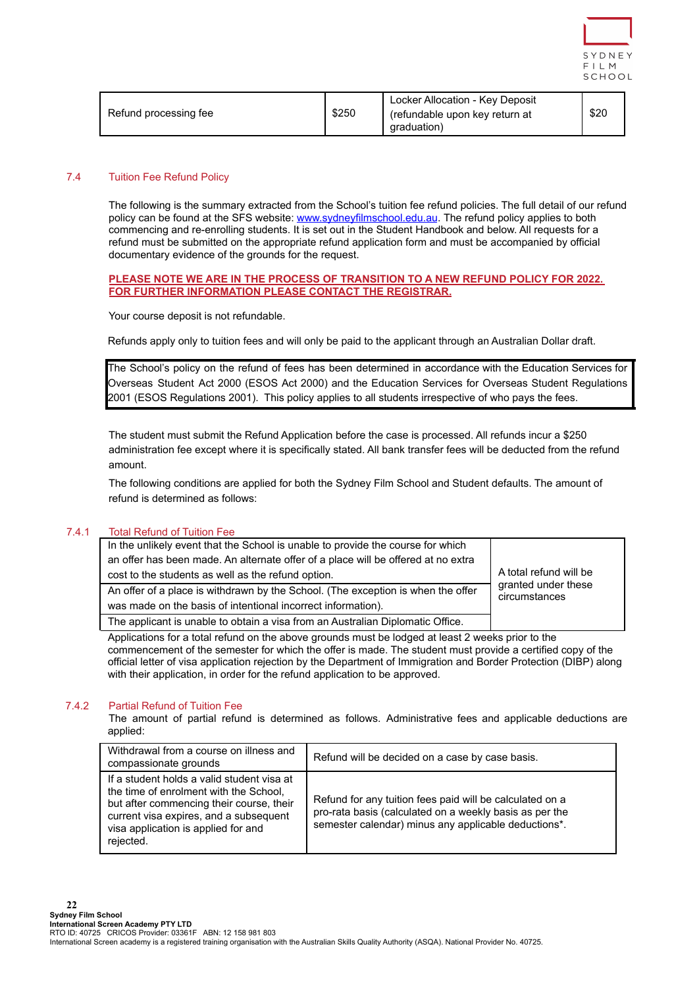

|                       |       | Locker Allocation - Key Deposit               |      |
|-----------------------|-------|-----------------------------------------------|------|
| Refund processing fee | \$250 | (refundable upon key return at<br>araduation) | \$20 |
|                       |       |                                               |      |

# <span id="page-21-0"></span>7.4 Tuition Fee Refund Policy

The following is the summary extracted from the School's tuition fee refund policies. The full detail of our refund policy can be found at the SFS website: [www.sydneyfilmschool.edu.au](http://www.sydneyfilmschool.edu.au). The refund policy applies to both commencing and re-enrolling students. It is set out in the Student Handbook and below. All requests for a refund must be submitted on the appropriate refund application form and must be accompanied by official documentary evidence of the grounds for the request.

### **PLEASE NOTE WE ARE IN THE PROCESS OF TRANSITION TO A NEW REFUND POLICY FOR 2022. FOR FURTHER INFORMATION PLEASE CONTACT THE REGISTRAR.**

Your course deposit is not refundable.

Refunds apply only to tuition fees and will only be paid to the applicant through an Australian Dollar draft.

The School's policy on the refund of fees has been determined in accordance with the Education Services for Overseas Student Act 2000 (ESOS Act 2000) and the Education Services for Overseas Student Regulations 2001 (ESOS Regulations 2001). This policy applies to all students irrespective of who pays the fees.

The student must submit the Refund Application before the case is processed. All refunds incur a \$250 administration fee except where it is specifically stated. All bank transfer fees will be deducted from the refund amount.

The following conditions are applied for both the Sydney Film School and Student defaults. The amount of refund is determined as follows:

## <span id="page-21-1"></span>7.4.1 Total Refund of Tuition Fee

| In the unlikely event that the School is unable to provide the course for which   |                                                                |
|-----------------------------------------------------------------------------------|----------------------------------------------------------------|
| an offer has been made. An alternate offer of a place will be offered at no extra |                                                                |
| cost to the students as well as the refund option.                                | A total refund will be<br>granted under these<br>circumstances |
| An offer of a place is withdrawn by the School. (The exception is when the offer  |                                                                |
| was made on the basis of intentional incorrect information).                      |                                                                |
| The applicant is unable to obtain a visa from an Australian Diplomatic Office.    |                                                                |

Applications for a total refund on the above grounds must be lodged at least 2 weeks prior to the commencement of the semester for which the offer is made. The student must provide a certified copy of the official letter of visa application rejection by the Department of Immigration and Border Protection (DIBP) along with their application, in order for the refund application to be approved.

# <span id="page-21-2"></span>7.4.2 Partial Refund of Tuition Fee

The amount of partial refund is determined as follows. Administrative fees and applicable deductions are applied:

| Withdrawal from a course on illness and<br>compassionate grounds                                                                                                                                                               | Refund will be decided on a case by case basis.                                                                                                                             |
|--------------------------------------------------------------------------------------------------------------------------------------------------------------------------------------------------------------------------------|-----------------------------------------------------------------------------------------------------------------------------------------------------------------------------|
| If a student holds a valid student visa at<br>the time of enrolment with the School,<br>but after commencing their course, their<br>current visa expires, and a subsequent<br>visa application is applied for and<br>rejected. | Refund for any tuition fees paid will be calculated on a<br>pro-rata basis (calculated on a weekly basis as per the<br>semester calendar) minus any applicable deductions*. |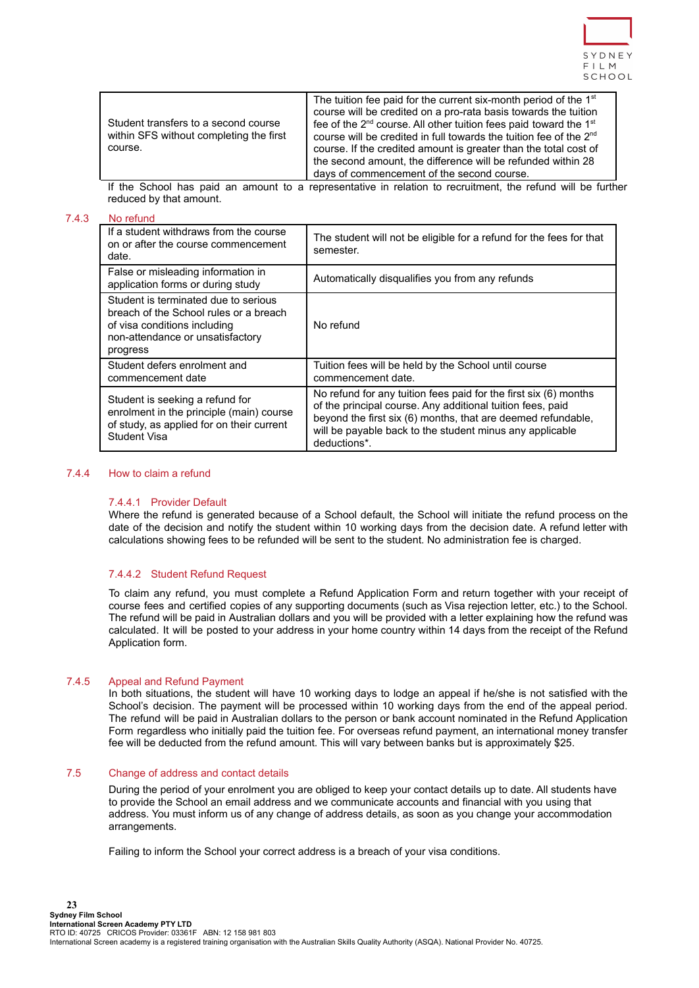

| Student transfers to a second course<br>within SFS without completing the first<br>course. | The tuition fee paid for the current six-month period of the 1 <sup>st</sup><br>course will be credited on a pro-rata basis towards the tuition<br>fee of the 2 <sup>nd</sup> course. All other tuition fees paid toward the 1 <sup>st</sup><br>course will be credited in full towards the tuition fee of the 2 <sup>nd</sup><br>course. If the credited amount is greater than the total cost of<br>the second amount, the difference will be refunded within 28<br>days of commencement of the second course. |
|--------------------------------------------------------------------------------------------|------------------------------------------------------------------------------------------------------------------------------------------------------------------------------------------------------------------------------------------------------------------------------------------------------------------------------------------------------------------------------------------------------------------------------------------------------------------------------------------------------------------|
|--------------------------------------------------------------------------------------------|------------------------------------------------------------------------------------------------------------------------------------------------------------------------------------------------------------------------------------------------------------------------------------------------------------------------------------------------------------------------------------------------------------------------------------------------------------------------------------------------------------------|

If the School has paid an amount to a representative in relation to recruitment, the refund will be further reduced by that amount.

## <span id="page-22-0"></span>7.4.3 No refund

| If a student withdraws from the course<br>on or after the course commencement<br>date.                                                                         | The student will not be eligible for a refund for the fees for that<br>semester.                                                                                                                                                                                           |
|----------------------------------------------------------------------------------------------------------------------------------------------------------------|----------------------------------------------------------------------------------------------------------------------------------------------------------------------------------------------------------------------------------------------------------------------------|
| False or misleading information in<br>application forms or during study                                                                                        | Automatically disqualifies you from any refunds                                                                                                                                                                                                                            |
| Student is terminated due to serious<br>breach of the School rules or a breach<br>of visa conditions including<br>non-attendance or unsatisfactory<br>progress | No refund                                                                                                                                                                                                                                                                  |
| Student defers enrolment and<br>commencement date                                                                                                              | Tuition fees will be held by the School until course<br>commencement date.                                                                                                                                                                                                 |
| Student is seeking a refund for<br>enrolment in the principle (main) course<br>of study, as applied for on their current<br>Student Visa                       | No refund for any tuition fees paid for the first six (6) months<br>of the principal course. Any additional tuition fees, paid<br>beyond the first six (6) months, that are deemed refundable,<br>will be payable back to the student minus any applicable<br>deductions*. |

#### <span id="page-22-2"></span><span id="page-22-1"></span>7.4.4 How to claim a refund

## 7.4.4.1 Provider Default

Where the refund is generated because of a School default, the School will initiate the refund process on the date of the decision and notify the student within 10 working days from the decision date. A refund letter with calculations showing fees to be refunded will be sent to the student. No administration fee is charged.

# 7.4.4.2 Student Refund Request

To claim any refund, you must complete a Refund Application Form and return together with your receipt of course fees and certified copies of any supporting documents (such as Visa rejection letter, etc.) to the School. The refund will be paid in Australian dollars and you will be provided with a letter explaining how the refund was calculated. It will be posted to your address in your home country within 14 days from the receipt of the Refund Application form.

#### <span id="page-22-3"></span>7.4.5 Appeal and Refund Payment

In both situations, the student will have 10 working days to lodge an appeal if he/she is not satisfied with the School's decision. The payment will be processed within 10 working days from the end of the appeal period. The refund will be paid in Australian dollars to the person or bank account nominated in the Refund Application Form regardless who initially paid the tuition fee. For overseas refund payment, an international money transfer fee will be deducted from the refund amount. This will vary between banks but is approximately \$25.

#### <span id="page-22-4"></span>7.5 Change of address and contact details

During the period of your enrolment you are obliged to keep your contact details up to date. All students have to provide the School an email address and we communicate accounts and financial with you using that address. You must inform us of any change of address details, as soon as you change your accommodation arrangements.

Failing to inform the School your correct address is a breach of your visa conditions.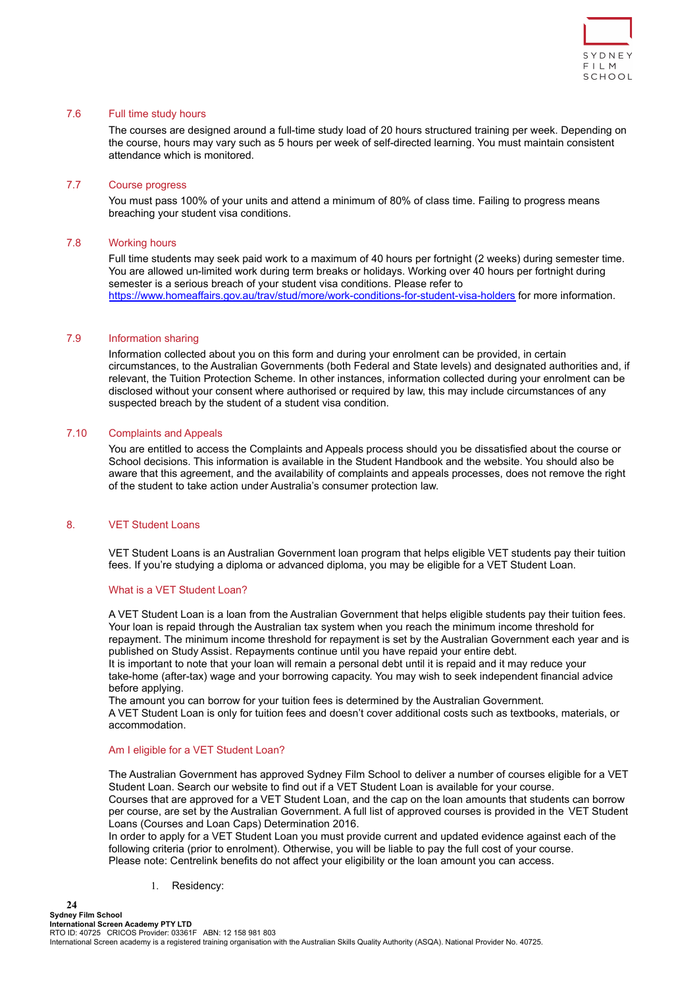

# <span id="page-23-0"></span>7.6 Full time study hours

The courses are designed around a full-time study load of 20 hours structured training per week. Depending on the course, hours may vary such as 5 hours per week of self-directed learning. You must maintain consistent attendance which is monitored.

## <span id="page-23-1"></span>7.7 Course progress

You must pass 100% of your units and attend a minimum of 80% of class time. Failing to progress means breaching your student visa conditions.

# <span id="page-23-2"></span>7.8 Working hours

Full time students may seek paid work to a maximum of 40 hours per fortnight (2 weeks) during semester time. You are allowed un-limited work during term breaks or holidays. Working over 40 hours per fortnight during semester is a serious breach of your student visa conditions. Please refer to <https://www.homeaffairs.gov.au/trav/stud/more/work-conditions-for-student-visa-holders> for more information.

## <span id="page-23-3"></span>7.9 Information sharing

Information collected about you on this form and during your enrolment can be provided, in certain circumstances, to the Australian Governments (both Federal and State levels) and designated authorities and, if relevant, the Tuition Protection Scheme. In other instances, information collected during your enrolment can be disclosed without your consent where authorised or required by law, this may include circumstances of any suspected breach by the student of a student visa condition.

# <span id="page-23-4"></span>7.10 Complaints and Appeals

You are entitled to access the Complaints and Appeals process should you be dissatisfied about the course or School decisions. This information is available in the Student Handbook and the website. You should also be aware that this agreement, and the availability of complaints and appeals processes, does not remove the right of the student to take action under Australia's consumer protection law.

## <span id="page-23-5"></span>8. VFT Student Loans

VET Student Loans is an Australian Government loan program that helps eligible VET students pay their tuition fees. If you're studying a diploma or advanced diploma, you may be eligible for a VET Student Loan.

## What is a VET Student Loan?

A VET Student Loan is a loan from the Australian Government that helps eligible students pay their tuition fees. Your loan is repaid through the Australian tax system when you reach the minimum income threshold for repayment. The minimum income threshold for repayment is set by the Australian Government each year and is published on [Study Assist.](https://www.studyassist.gov.au/paying-back-my-loan/loan-repayment) Repayments continue until you have repaid your entire debt. It is important to note that your loan will remain a personal debt until it is repaid and it may reduce your

take-home (after-tax) wage and your borrowing capacity. You may wish to seek independent financial advice before applying.

The amount you can borrow for your tuition fees is determined by the Australian Government. A VET Student Loan is only for tuition fees and doesn't cover additional costs such as textbooks, materials, or accommodation.

#### Am I eligible for a VET Student Loan?

The Australian Government has approved Sydney Film School to deliver a number of courses eligible for a VET Student Loan. Search our website to find out if a VET Student Loan is available for your course. Courses that are approved for a VET Student Loan, and the cap on the loan amounts that students can borrow per course, are set by the Australian Government. A full list of approved courses is provided in the [VET Student](https://www.legislation.gov.au/Series/F2016L02016#primary-content) [Loans \(Courses and Loan Caps\) Determination 2016.](https://www.legislation.gov.au/Series/F2016L02016#primary-content)

In order to apply for a VET Student Loan you must provide current and updated evidence against each of the following criteria (prior to enrolment). Otherwise, you will be liable to pay the full cost of your course. Please note: Centrelink benefits do not affect your eligibility or the loan amount you can access.

1. Residency:

**24**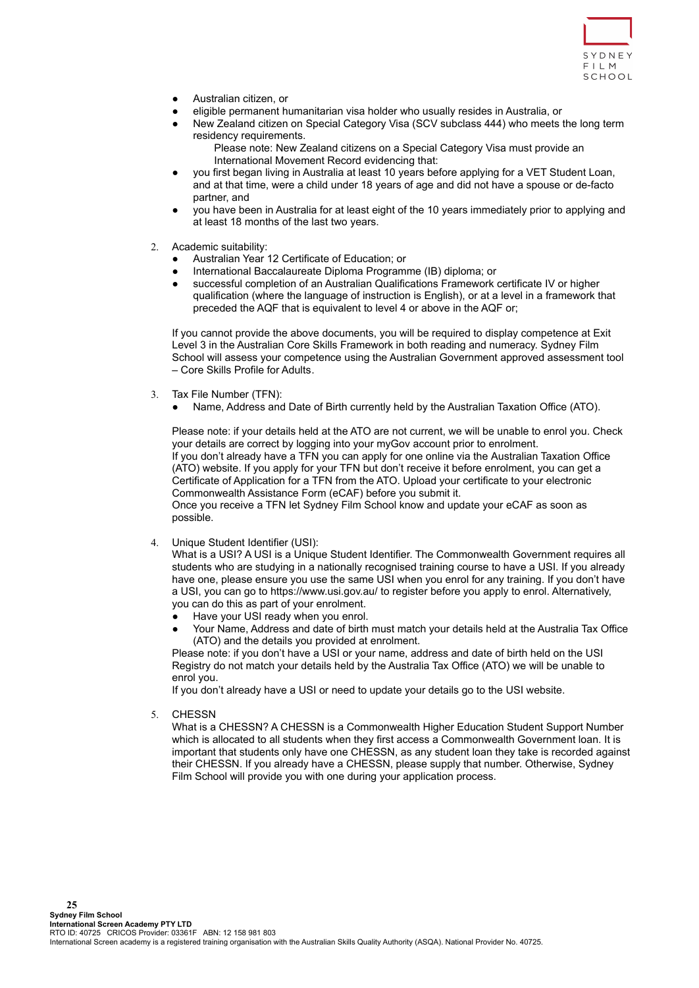

- Australian citizen, or
- eligible permanent humanitarian visa holder who usually resides in Australia, or
- New Zealand citizen on Special Category Visa (SCV subclass 444) who meets the long term residency requirements.

Please note: New Zealand citizens on a Special Category Visa must provide an International Movement Record evidencing that:

- you first began living in Australia at least 10 years before applying for a VET Student Loan, and at that time, were a child under 18 years of age and did not have a spouse or de-facto partner, and
- you have been in Australia for at least eight of the 10 years immediately prior to applying and at least 18 months of the last two years.
- 2. Academic suitability:
	- Australian Year 12 Certificate of Education; or
	- International Baccalaureate Diploma Programme (IB) diploma; or
	- successful completion of an Australian Qualifications Framework certificate IV or higher qualification (where the language of instruction is English), or at a level in a framework that preceded the AQF that is equivalent to level 4 or above in the AQF or;

If you cannot provide the above documents, you will be required to display competence at Exit Level 3 in the Australian Core Skills Framework in both reading and numeracy. Sydney Film School will assess your competence using the Australian Government approved assessment tool – [Core Skills Profile for Adults.](https://pivotal.acer.edu.au/au/cspa)

- 3. Tax File Number (TFN):
	- Name, Address and Date of Birth currently held by the Australian Taxation Office (ATO).

Please note: if your details held at the ATO are not current, we will be unable to enrol you. Check your details are correct by logging into your myGov account prior to enrolment. If you don't already have a TFN you can apply for one online via the [Australian Taxation Office](https://www.ato.gov.au/Individuals/Tax-file-number/Apply-for-a-TFN/) [\(ATO\) website](https://www.ato.gov.au/Individuals/Tax-file-number/Apply-for-a-TFN/). If you apply for your TFN but don't receive it before enrolment, you can get a Certificate of Application for a TFN from the ATO. Upload your certificate to your electronic Commonwealth Assistance Form (eCAF) before you submit it.

Once you receive a TFN let Sydney Film School know and update your eCAF as soon as possible.

4. Unique Student Identifier (USI):

What is a USI? A USI is a Unique Student Identifier. The Commonwealth Government requires all students who are studying in a nationally recognised training course to have a USI. If you already have one, please ensure you use the same USI when you enrol for any training. If you don't have a USI, you can go to <https://www.usi.gov.au/> to register before you apply to enrol. Alternatively, you can do this as part of your enrolment.

- Have your USI ready when you enrol.
- Your Name, Address and date of birth must match your details held at the Australia Tax Office (ATO) and the details you provided at enrolment.

Please note: if you don't have a USI or your name, address and date of birth held on the USI Registry do not match your details held by the Australia Tax Office (ATO) we will be unable to enrol you.

If you don't already have a USI or need to update your details go to the [USI website.](https://www.usi.gov.au/students/create-your-usi)

5. CHESSN

What is a CHESSN? A CHESSN is a Commonwealth Higher Education Student Support Number which is allocated to all students when they first access a Commonwealth Government loan. It is important that students only have one CHESSN, as any student loan they take is recorded against their CHESSN. If you already have a CHESSN, please supply that number. Otherwise, Sydney Film School will provide you with one during your application process.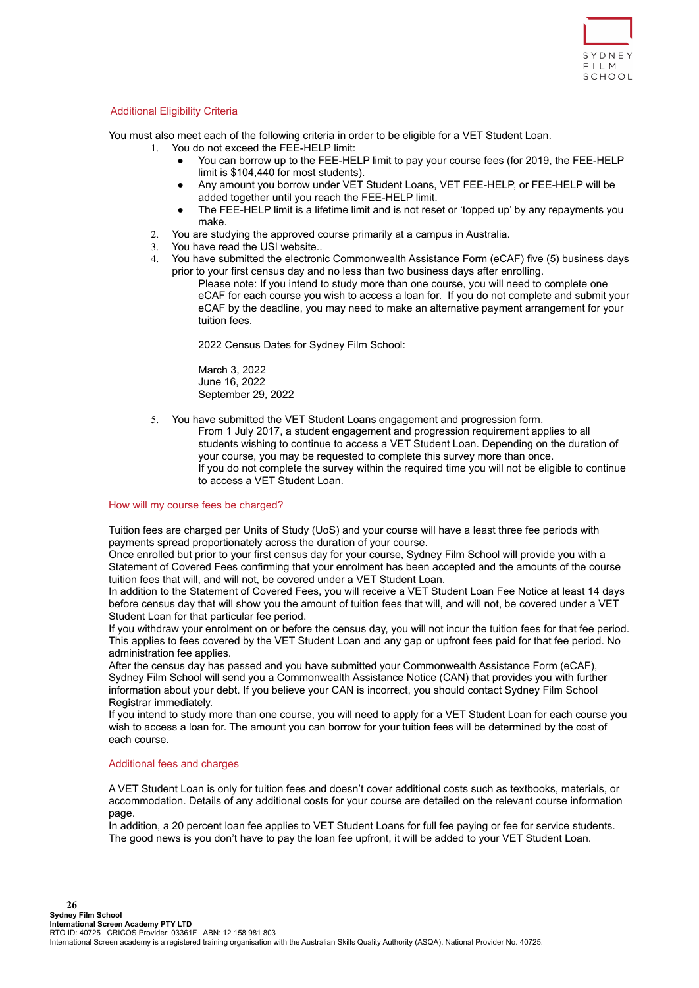

# Additional Eligibility Criteria

You must also meet each of the following criteria in order to be eligible for a VET Student Loan.

- 1. You do not exceed the FEE-HELP limit:
	- You can borrow up to the FEE-HELP limit to pay your course fees (for 2019, the FEE-HELP limit is \$104,440 for most students).
	- Any amount you borrow under VET Student Loans, VET FEE-HELP, or FEE-HELP will be added together until you reach the FEE-HELP limit.
	- The FEE-HELP limit is a lifetime limit and is not reset or 'topped up' by any repayments you make.
	- 2. You are studying the approved course primarily at a campus in Australia.
	- 3. You have read the [USI website.](https://www.usi.gov.au/students/create-your-usi).
	- 4. You have submitted the electronic Commonwealth Assistance Form (eCAF) five (5) business days prior to your first census day and no less than two business days after enrolling.

Please note: If you intend to study more than one course, you will need to complete one eCAF for each course you wish to access a loan for. If you do not complete and submit your eCAF by the deadline, you may need to make an alternative payment arrangement for your tuition fees.

2022 Census Dates for Sydney Film School:

March 3, 2022 June 16, 2022 September 29, 2022

5. You have submitted the VET Student Loans engagement and progression form.

From 1 July 2017, a student engagement and progression requirement applies to all students wishing to continue to access a VET Student Loan. Depending on the duration of your course, you may be requested to complete this survey more than once. If you do not complete the survey within the required time you will not be eligible to continue to access a VET Student Loan.

## How will my course fees be charged?

Tuition fees are charged per Units of Study (UoS) and your course will have a least three fee periods with payments spread proportionately across the duration of your course.

Once enrolled but prior to your first census day for your course, Sydney Film School will provide you with a Statement of Covered Fees confirming that your enrolment has been accepted and the amounts of the course tuition fees that will, and will not, be covered under a VET Student Loan.

In addition to the Statement of Covered Fees, you will receive a VET Student Loan Fee Notice at least 14 days before census day that will show you the amount of tuition fees that will, and will not, be covered under a VET Student Loan for that particular fee period.

If you withdraw your enrolment on or before the census day, you will not incur the tuition fees for that fee period. This applies to fees covered by the VET Student Loan and any gap or upfront fees paid for that fee period. No administration fee applies.

After the census day has passed and you have submitted your Commonwealth Assistance Form (eCAF), Sydney Film School will send you a Commonwealth Assistance Notice (CAN) that provides you with further information about your debt. If you believe your CAN is incorrect, you should contact Sydney Film School Registrar immediately.

If you intend to study more than one course, you will need to apply for a VET Student Loan for each course you wish to access a loan for. The amount you can borrow for your tuition fees will be determined by the cost of each course.

## Additional fees and charges

A VET Student Loan is only for tuition fees and doesn't cover additional costs such as textbooks, materials, or accommodation. Details of any additional costs for your course are detailed on the relevant course information page.

In addition, a 20 percent loan fee applies to VET Student Loans for full fee paying or fee for service students. The good news is you don't have to pay the loan fee upfront, it will be added to your VET Student Loan.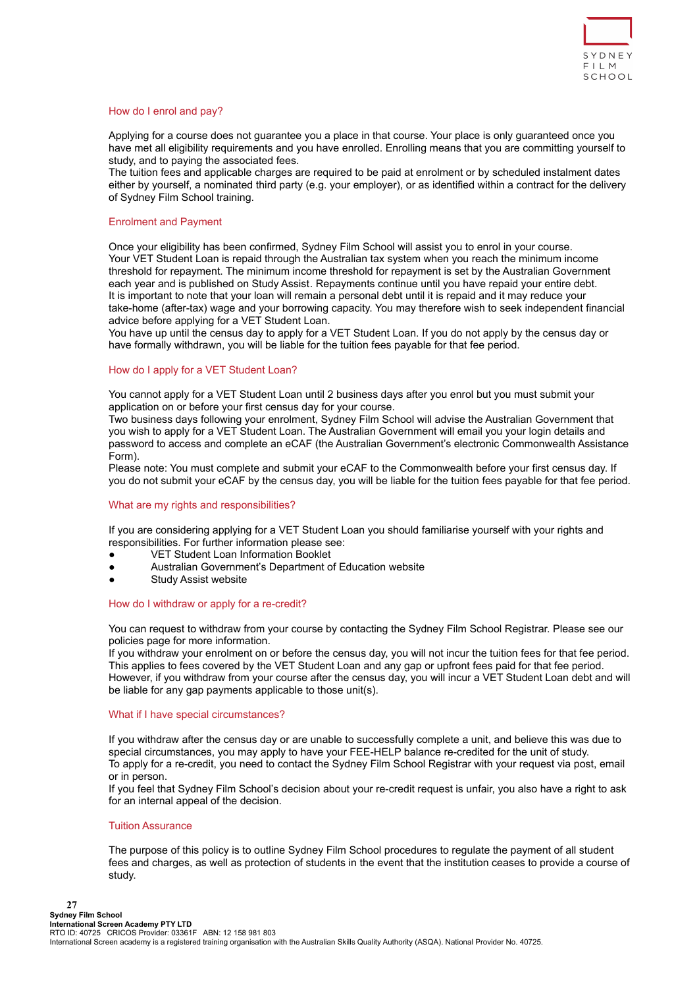

#### How do I enrol and pay?

Applying for a course does not guarantee you a place in that course. Your place is only guaranteed once you have met all eligibility requirements and you have enrolled. Enrolling means that you are committing yourself to study, and to paying the associated fees.

The tuition fees and applicable charges are required to be paid at enrolment or by scheduled instalment dates either by yourself, a nominated third party (e.g. your employer), or as identified within a contract for the delivery of Sydney Film School training.

# Enrolment and Payment

Once your eligibility has been confirmed, Sydney Film School will assist you to enrol in your course. Your VET Student Loan is repaid through the Australian tax system when you reach the minimum income threshold for repayment. The minimum income threshold for repayment is set by the Australian Government each year and is published on [Study Assist](https://www.studyassist.gov.au/paying-back-my-loan/loan-repayment). Repayments continue until you have repaid your entire debt. It is important to note that your loan will remain a personal debt until it is repaid and it may reduce your take-home (after-tax) wage and your borrowing capacity. You may therefore wish to seek independent financial advice before applying for a VET Student Loan.

You have up until the census day to apply for a VET Student Loan. If you do not apply by the census day or have formally withdrawn, you will be liable for the tuition fees payable for that fee period.

## How do I apply for a VET Student Loan?

You cannot apply for a VET Student Loan until 2 business days after you enrol but you must submit your application on or before your first census day for your course.

Two business days following your enrolment, Sydney Film School will advise the Australian Government that you wish to apply for a VET Student Loan. The Australian Government will email you your login details and password to access and complete an eCAF (the Australian Government's electronic Commonwealth Assistance Form).

Please note: You must complete and submit your eCAF to the Commonwealth before your first census day. If you do not submit your eCAF by the census day, you will be liable for the tuition fees payable for that fee period.

## What are my rights and responsibilities?

If you are considering applying for a VET Student Loan you should familiarise yourself with your rights and responsibilities. For further information please see:

- [VET Student Loan Information Booklet](https://docs.education.gov.au/node/42391)
- Australian Government's [Department of Education website](https://www.employment.gov.au/vet-student-loans)
- **[Study Assist website](http://www.studyassist.gov.au/)**

## How do I withdraw or apply for a re-credit?

You can request to withdraw from your course by contacting the Sydney Film School Registrar. Please see our [policies page](https://sydneyfilmschool.edu.au/policies-and-procedures/) for more information.

If you withdraw your enrolment on or before the census day, you will not incur the tuition fees for that fee period. This applies to fees covered by the VET Student Loan and any gap or upfront fees paid for that fee period. However, if you withdraw from your course after the census day, you will incur a VET Student Loan debt and will be liable for any gap payments applicable to those unit(s).

## What if I have special circumstances?

If you withdraw after the census day or are unable to successfully complete a unit, and believe this was due to special circumstances, you may apply to have your FEE-HELP balance re-credited for the unit of study. To apply for a re-credit, you need to contact the Sydney Film School Registrar with your request via post, email or in person.

If you feel that Sydney Film School's decision about your re-credit request is unfair, you also have a right to ask for an internal appeal of the decision.

#### Tuition Assurance

The purpose of this policy is to outline Sydney Film School procedures to regulate the payment of all student fees and charges, as well as protection of students in the event that the institution ceases to provide a course of study.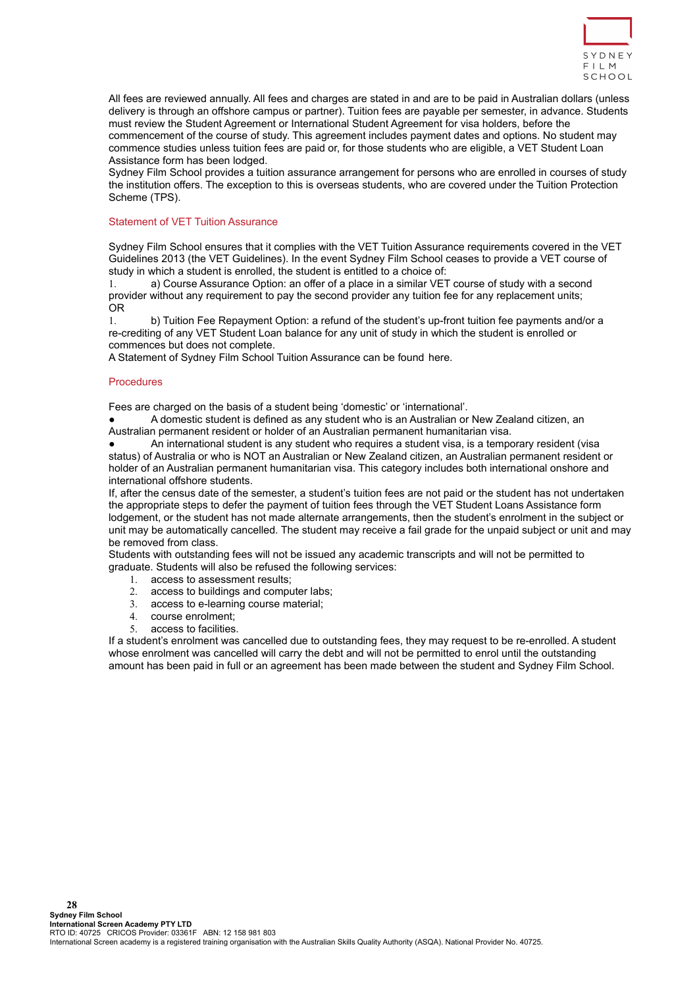

All fees are reviewed annually. All fees and charges are stated in and are to be paid in Australian dollars (unless delivery is through an offshore campus or partner). Tuition fees are payable per semester, in advance. Students must review the Student Agreement or International Student Agreement for visa holders, before the commencement of the course of study. This agreement includes payment dates and options. No student may commence studies unless tuition fees are paid or, for those students who are eligible, a VET Student Loan Assistance form has been lodged.

Sydney Film School provides a tuition assurance arrangement for persons who are enrolled in courses of study the institution offers. The exception to this is overseas students, who are covered under the Tuition Protection Scheme (TPS).

### Statement of VET Tuition Assurance

Sydney Film School ensures that it complies with the VET Tuition Assurance requirements covered in the VET Guidelines 2013 (the VET Guidelines). In the event Sydney Film School ceases to provide a VET course of study in which a student is enrolled, the student is entitled to a choice of:

1. a) Course Assurance Option: an offer of a place in a similar VET course of study with a second provider without any requirement to pay the second provider any tuition fee for any replacement units; OR

1. b) Tuition Fee Repayment Option: a refund of the student's up-front tuition fee payments and/or a re-crediting of any VET Student Loan balance for any unit of study in which the student is enrolled or commences but does not complete.

A Statement of Sydney Film School Tuition Assurance can be found [here.](https://sydneyfilmschool.edu.au/wp-content/uploads/2021/01/Tuition-Assurance-SFS.pdf)

#### **Procedures**

Fees are charged on the basis of a student being 'domestic' or 'international'.

A domestic student is defined as any student who is an Australian or New Zealand citizen, an Australian permanent resident or holder of an Australian permanent humanitarian visa.

An international student is any student who requires a student visa, is a temporary resident (visa status) of Australia or who is NOT an Australian or New Zealand citizen, an Australian permanent resident or holder of an Australian permanent humanitarian visa. This category includes both international onshore and international offshore students.

If, after the census date of the semester, a student's tuition fees are not paid or the student has not undertaken the appropriate steps to defer the payment of tuition fees through the VET Student Loans Assistance form lodgement, or the student has not made alternate arrangements, then the student's enrolment in the subject or unit may be automatically cancelled. The student may receive a fail grade for the unpaid subject or unit and may be removed from class.

Students with outstanding fees will not be issued any academic transcripts and will not be permitted to graduate. Students will also be refused the following services:

- 1. access to assessment results;
- 2. access to buildings and computer labs;
- 3. access to e-learning course material;
- 4. course enrolment;
- 5. access to facilities.

If a student's enrolment was cancelled due to outstanding fees, they may request to be re-enrolled. A student whose enrolment was cancelled will carry the debt and will not be permitted to enrol until the outstanding amount has been paid in full or an agreement has been made between the student and Sydney Film School.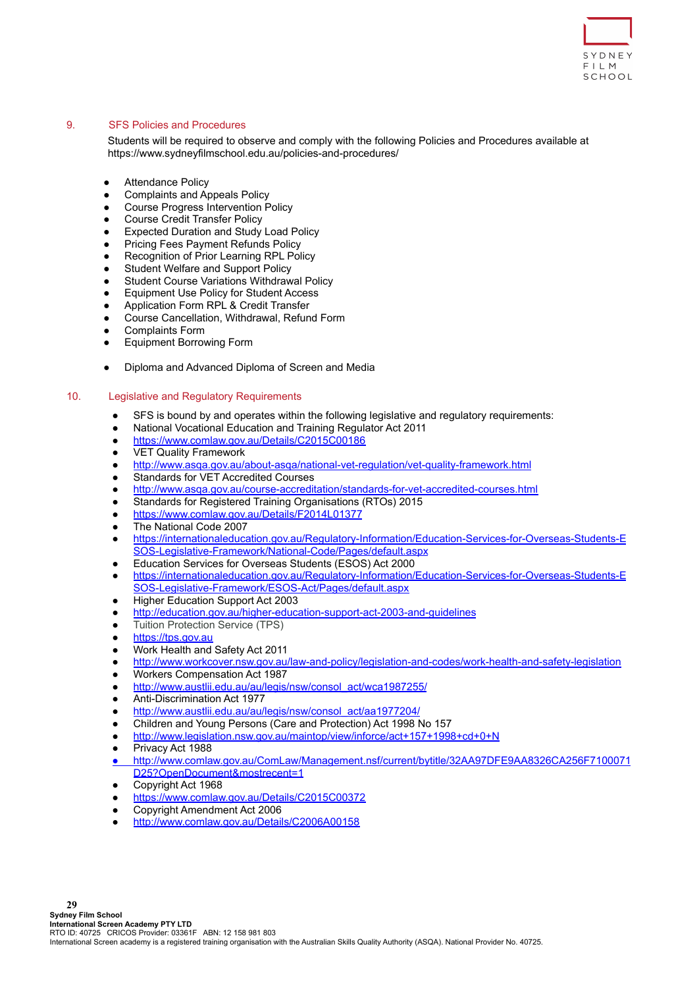

# <span id="page-28-0"></span>9. SFS Policies and Procedures

Students will be required to observe and comply with the following Policies and Procedures available at [https://www.sydneyfilmschool.edu.au/policies-and-procedures/](https://www.sydneyactorsschool.edu.au/policies-and-procedures/)

- Attendance Policy
- Complaints and Appeals Policy
- Course Progress Intervention Policy
- Course Credit Transfer Policy
- **Expected Duration and Study Load Policy**
- **Pricing Fees Payment Refunds Policy**
- **Recognition of Prior Learning RPL Policy**
- **Student Welfare and Support Policy**
- **Student Course Variations Withdrawal Policy**
- **Equipment Use Policy for Student Access**
- Application Form RPL & Credit Transfer
- Course Cancellation, Withdrawal, Refund Form
- Complaints Form
- **Equipment Borrowing Form**
- Diploma and Advanced Diploma of Screen and Media

# <span id="page-28-1"></span>10. Legislative and Regulatory Requirements

- SFS is bound by and operates within the following legislative and regulatory requirements:
- National Vocational Education and Training Regulator Act 2011
- <https://www.comlaw.gov.au/Details/C2015C00186>
- VET Quality Framework
- <http://www.asqa.gov.au/about-asqa/national-vet-regulation/vet-quality-framework.html>
- Standards for VET Accredited Courses
- <http://www.asqa.gov.au/course-accreditation/standards-for-vet-accredited-courses.html>
- Standards for Registered Training Organisations (RTOs) 2015
- <https://www.comlaw.gov.au/Details/F2014L01377>
- The National Code 2007
- [https://internationaleducation.gov.au/Regulatory-Information/Education-Services-for-Overseas-Students-E](https://internationaleducation.gov.au/Regulatory-Information/Education-Services-for-Overseas-Students-ESOS-Legislative-Framework/National-Code/Pages/default.aspx) [SOS-Legislative-Framework/National-Code/Pages/default.aspx](https://internationaleducation.gov.au/Regulatory-Information/Education-Services-for-Overseas-Students-ESOS-Legislative-Framework/National-Code/Pages/default.aspx)
- Education Services for Overseas Students (ESOS) Act 2000
- [https://internationaleducation.gov.au/Regulatory-Information/Education-Services-for-Overseas-Students-E](https://internationaleducation.gov.au/Regulatory-Information/Education-Services-for-Overseas-Students-ESOS-Legislative-Framework/ESOS-Act/Pages/default.aspx) [SOS-Legislative-Framework/ESOS-Act/Pages/default.aspx](https://internationaleducation.gov.au/Regulatory-Information/Education-Services-for-Overseas-Students-ESOS-Legislative-Framework/ESOS-Act/Pages/default.aspx)
- Higher Education Support Act 2003
- <http://education.gov.au/higher-education-support-act-2003-and-guidelines>
- **Tuition Protection Service (TPS)**
- <https://tps.gov.au>
- Work Health and Safety Act 2011
- <http://www.workcover.nsw.gov.au/law-and-policy/legislation-and-codes/work-health-and-safety-legislation>
- Workers Compensation Act 1987
- [http://www.austlii.edu.au/au/legis/nsw/consol\\_act/wca1987255/](http://www.austlii.edu.au/au/legis/nsw/consol_act/wca1987255/)
- Anti-Discrimination Act 1977
- [http://www.austlii.edu.au/au/legis/nsw/consol\\_act/aa1977204/](http://www.austlii.edu.au/au/legis/nsw/consol_act/aa1977204/)
- Children and Young Persons (Care and Protection) Act 1998 No 157
- <http://www.legislation.nsw.gov.au/maintop/view/inforce/act+157+1998+cd+0+N>
- Privacy Act 1988
- [http://www.comlaw.gov.au/ComLaw/Management.nsf/current/bytitle/32AA97DFE9AA8326CA256F7100071](http://www.comlaw.gov.au/ComLaw/Management.nsf/current/bytitle/32AA97DFE9AA8326CA256F7100071D25?OpenDocument&mostrecent=1) [D25?OpenDocument&mostrecent=1](http://www.comlaw.gov.au/ComLaw/Management.nsf/current/bytitle/32AA97DFE9AA8326CA256F7100071D25?OpenDocument&mostrecent=1)
- Copyright Act 1968
- <https://www.comlaw.gov.au/Details/C2015C00372>
- Copyright Amendment Act 2006
- <http://www.comlaw.gov.au/Details/C2006A00158>